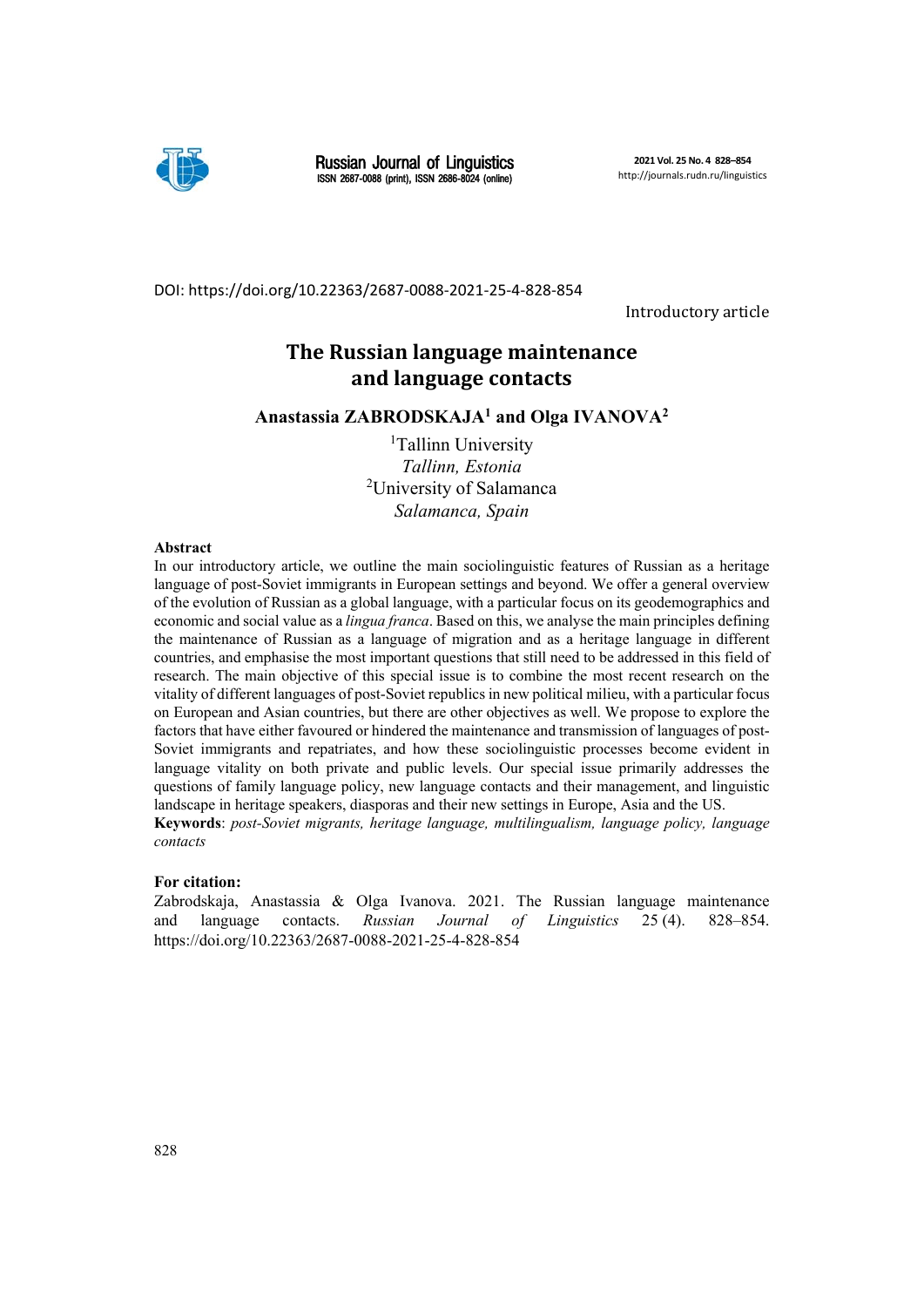

Russian Journal of Linguistics ISSN 2687-0088 (print), ISSN 2686-8024 (online)

DOI: https://doi.org/10.22363/2687‐0088‐2021‐25‐4‐828‐854

Introductory article

## **The Russian language maintenance and language contacts**

**Anastassia ZABRODSKAJA1 and Olga IVANOVA2**

<sup>1</sup>Tallinn University *Tallinn, Estonia*  2 University of Salamanca *Salamanca, Spain*

#### **Abstract**

In our introductory article, we outline the main sociolinguistic features of Russian as a heritage language of post-Soviet immigrants in European settings and beyond. We offer a general overview of the evolution of Russian as a global language, with a particular focus on its geodemographics and economic and social value as a *lingua franca*. Based on this, we analyse the main principles defining the maintenance of Russian as a language of migration and as a heritage language in different countries, and emphasise the most important questions that still need to be addressed in this field of research. The main objective of this special issue is to combine the most recent research on the vitality of different languages of post-Soviet republics in new political milieu, with a particular focus on European and Asian countries, but there are other objectives as well. We propose to explore the factors that have either favoured or hindered the maintenance and transmission of languages of post-Soviet immigrants and repatriates, and how these sociolinguistic processes become evident in language vitality on both private and public levels. Our special issue primarily addresses the questions of family language policy, new language contacts and their management, and linguistic landscape in heritage speakers, diasporas and their new settings in Europe, Asia and the US.

**Keywords**: *post-Soviet migrants, heritage language, multilingualism, language policy, language contacts*

#### **For citation:**

Zabrodskaja, Anastassia & Olga Ivanova. 2021. The Russian language maintenance and language contacts. *Russian Journal of Linguistics* 25 (4). 828–854. https://doi.org/10.22363/2687-0088-2021-25-4-828-854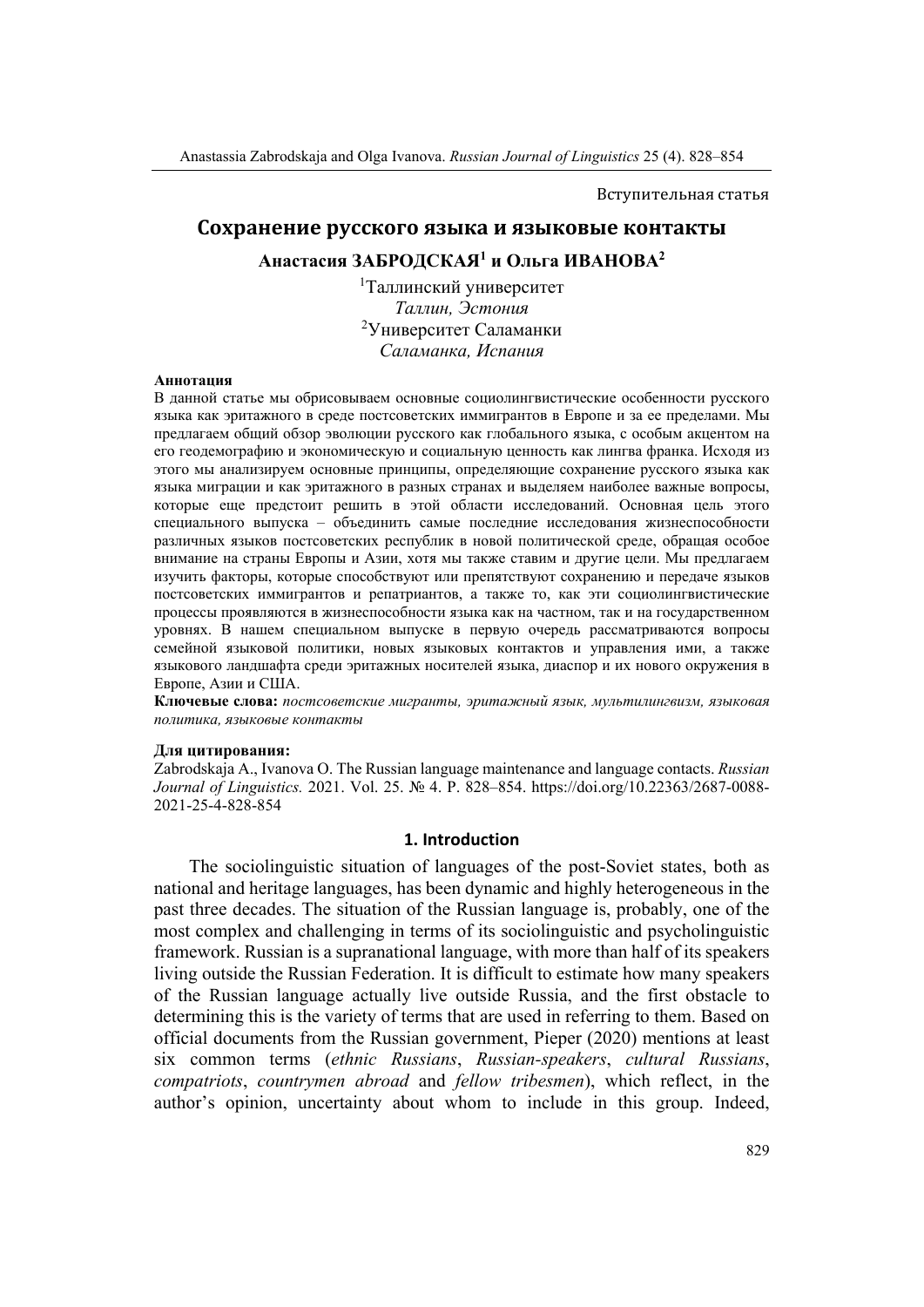Вступительная статья

# Сохранение русского языка и языковые контакты **Анастасия ЗАБРОДСКАЯ1 и Ольга ИВАНОВА2**

1 Таллинский университет *Таллин, Эстония* 2 Университет Саламанки *Саламанка, Испания*

#### **Аннотация**

В данной статье мы обрисовываем основные социолингвистические особенности русского языка как эритажного в среде постсоветских иммигрантов в Европе и за ее пределами. Мы предлагаем общий обзор эволюции русского как глобального языка, с особым акцентом на его геодемографию и экономическую и социальную ценность как лингва франка. Исходя из этого мы анализируем основные принципы, определяющие сохранение русского языка как языка миграции и как эритажного в разных странах и выделяем наиболее важные вопросы, которые еще предстоит решить в этой области исследований. Основная цель этого специального выпуска – объединить самые последние исследования жизнеспособности различных языков постсоветских республик в новой политической среде, обращая особое внимание на страны Европы и Азии, хотя мы также ставим и другие цели. Мы предлагаем изучить факторы, которые способствуют или препятствуют сохранению и передаче языков постсоветских иммигрантов и репатриантов, а также то, как эти социолингвистические процессы проявляются в жизнеспособности языка как на частном, так и на государственном уровнях. В нашем специальном выпуске в первую очередь рассматриваются вопросы семейной языковой политики, новых языковых контактов и управления ими, а также языкового ландшафта среди эритажных носителей языка, диаспор и их нового окружения в Европе, Азии и США.

**Ключевые слова:** *постсоветские мигранты, эритажный язык, мультилингвизм, языковая политика, языковые контакты*

#### **Для цитирования:**

Zabrodskaja A., Ivanova O. The Russian language maintenance and language contacts. *Russian Journal of Linguistics.* 2021. Vol. 25. № 4. P. 828–854. https://doi.org/10.22363/2687-0088- 2021-25-4-828-854

#### **1. Introduction**

The sociolinguistic situation of languages of the post-Soviet states, both as national and heritage languages, has been dynamic and highly heterogeneous in the past three decades. The situation of the Russian language is, probably, one of the most complex and challenging in terms of its sociolinguistic and psycholinguistic framework. Russian is a supranational language, with more than half of its speakers living outside the Russian Federation. It is difficult to estimate how many speakers of the Russian language actually live outside Russia, and the first obstacle to determining this is the variety of terms that are used in referring to them. Based on official documents from the Russian government, Pieper (2020) mentions at least six common terms (*ethnic Russians*, *Russian-speakers*, *cultural Russians*, *compatriots*, *countrymen abroad* and *fellow tribesmen*), which reflect, in the author's opinion, uncertainty about whom to include in this group. Indeed,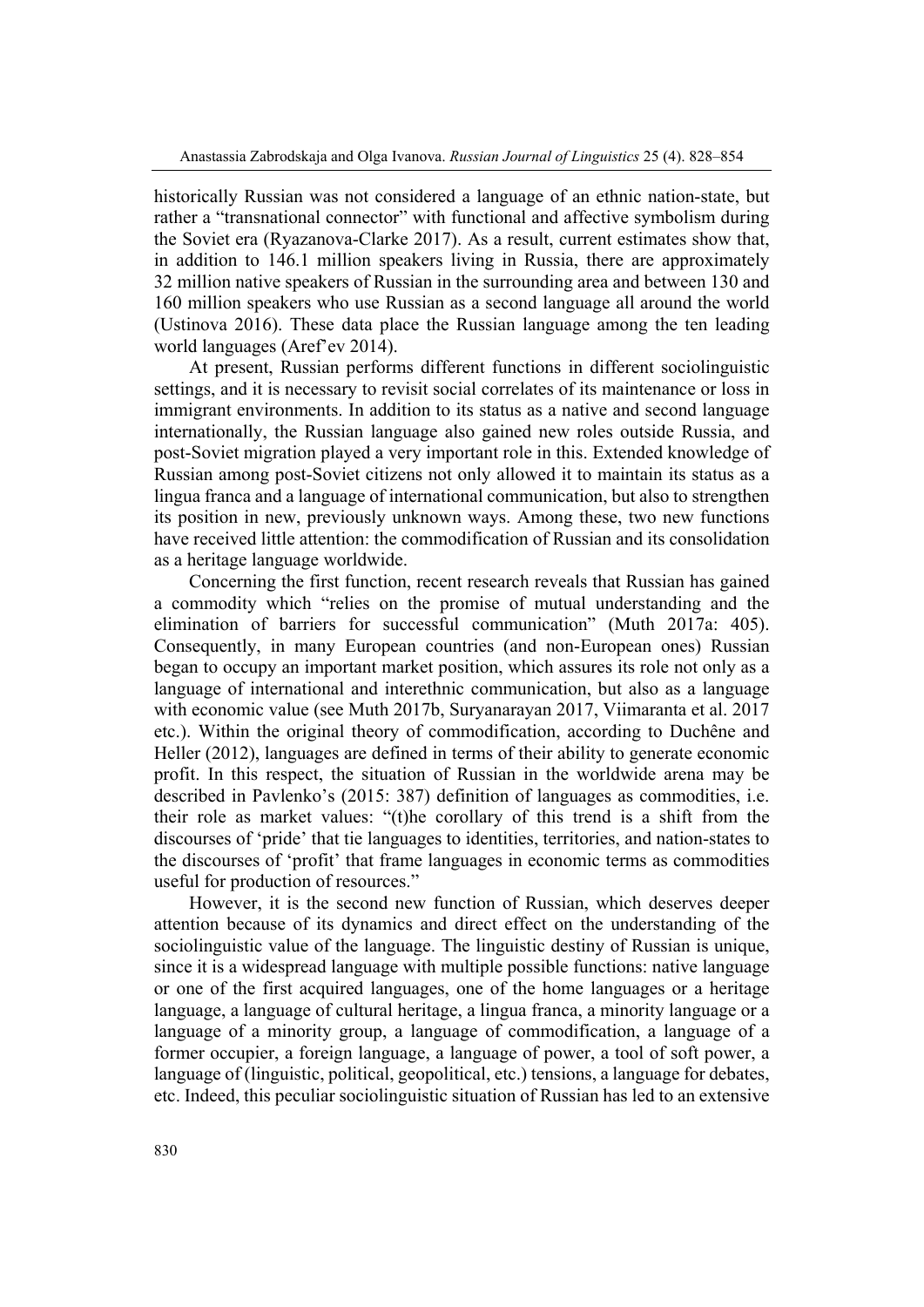historically Russian was not considered a language of an ethnic nation-state, but rather a "transnational connector" with functional and affective symbolism during the Soviet era (Ryazanova-Clarke 2017). As a result, current estimates show that, in addition to 146.1 million speakers living in Russia, there are approximately 32 million native speakers of Russian in the surrounding area and between 130 and 160 million speakers who use Russian as a second language all around the world (Ustinova 2016). These data place the Russian language among the ten leading world languages (Aref'ev 2014).

At present, Russian performs different functions in different sociolinguistic settings, and it is necessary to revisit social correlates of its maintenance or loss in immigrant environments. In addition to its status as a native and second language internationally, the Russian language also gained new roles outside Russia, and post-Soviet migration played a very important role in this. Extended knowledge of Russian among post-Soviet citizens not only allowed it to maintain its status as a lingua franca and a language of international communication, but also to strengthen its position in new, previously unknown ways. Among these, two new functions have received little attention: the commodification of Russian and its consolidation as a heritage language worldwide.

Concerning the first function, recent research reveals that Russian has gained a commodity which "relies on the promise of mutual understanding and the elimination of barriers for successful communication" (Muth 2017a: 405). Consequently, in many European countries (and non-European ones) Russian began to occupy an important market position, which assures its role not only as a language of international and interethnic communication, but also as a language with economic value (see Muth 2017b, Suryanarayan 2017, Viimaranta et al. 2017 etc.). Within the original theory of commodification, according to Duchêne and Heller (2012), languages are defined in terms of their ability to generate economic profit. In this respect, the situation of Russian in the worldwide arena may be described in Pavlenko's (2015: 387) definition of languages as commodities, i.e. their role as market values: "(t)he corollary of this trend is a shift from the discourses of 'pride' that tie languages to identities, territories, and nation-states to the discourses of 'profit' that frame languages in economic terms as commodities useful for production of resources."

However, it is the second new function of Russian, which deserves deeper attention because of its dynamics and direct effect on the understanding of the sociolinguistic value of the language. The linguistic destiny of Russian is unique, since it is a widespread language with multiple possible functions: native language or one of the first acquired languages, one of the home languages or a heritage language, a language of cultural heritage, a lingua franca, a minority language or a language of a minority group, a language of commodification, a language of a former occupier, a foreign language, a language of power, a tool of soft power, a language of (linguistic, political, geopolitical, etc.) tensions, a language for debates, etc. Indeed, this peculiar sociolinguistic situation of Russian has led to an extensive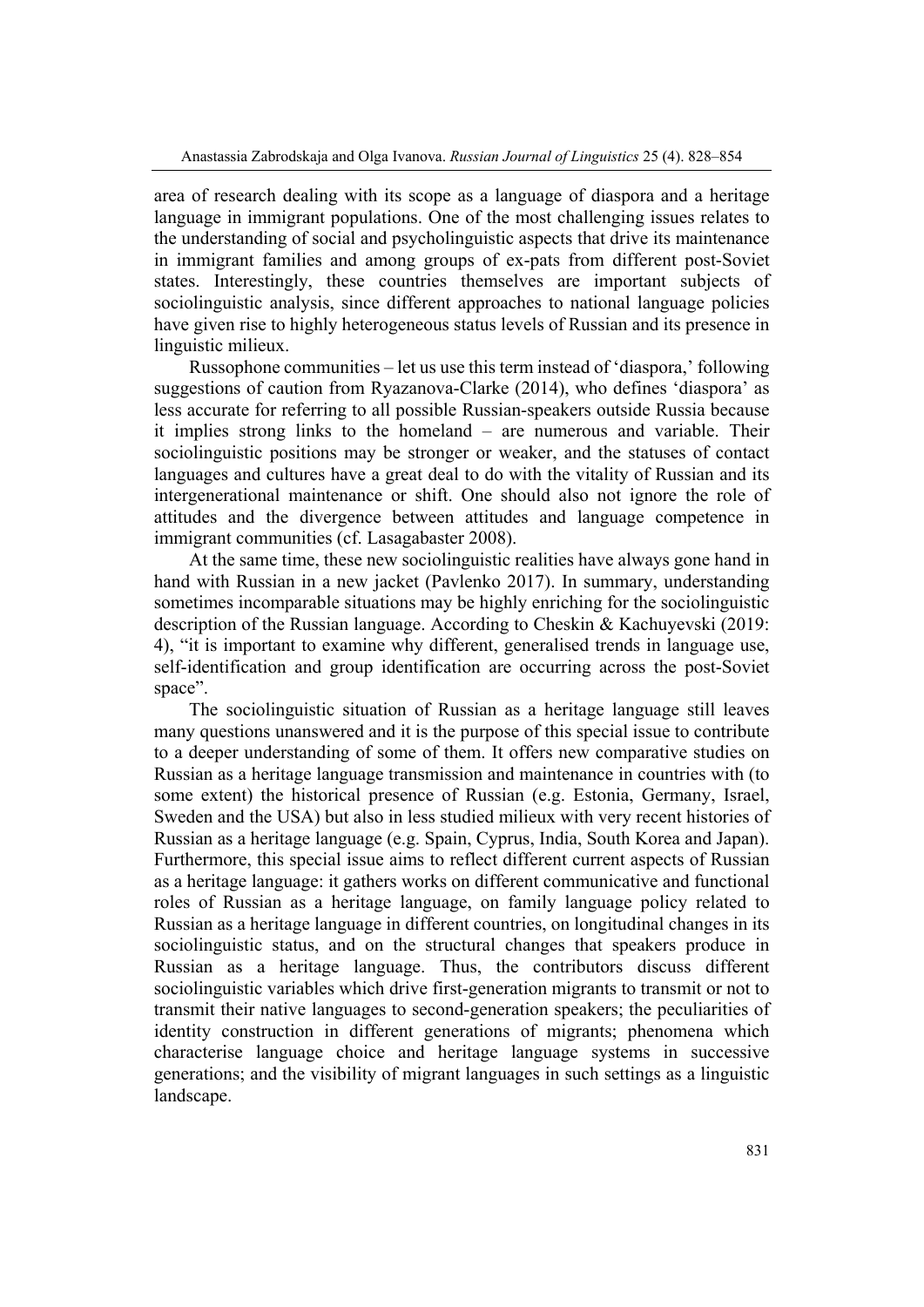area of research dealing with its scope as a language of diaspora and a heritage language in immigrant populations. One of the most challenging issues relates to the understanding of social and psycholinguistic aspects that drive its maintenance in immigrant families and among groups of ex-pats from different post-Soviet states. Interestingly, these countries themselves are important subjects of sociolinguistic analysis, since different approaches to national language policies have given rise to highly heterogeneous status levels of Russian and its presence in linguistic milieux.

Russophone communities – let us use this term instead of 'diaspora,' following suggestions of caution from Ryazanova-Clarke (2014), who defines 'diaspora' as less accurate for referring to all possible Russian-speakers outside Russia because it implies strong links to the homeland – are numerous and variable. Their sociolinguistic positions may be stronger or weaker, and the statuses of contact languages and cultures have a great deal to do with the vitality of Russian and its intergenerational maintenance or shift. One should also not ignore the role of attitudes and the divergence between attitudes and language competence in immigrant communities (cf. Lasagabaster 2008).

At the same time, these new sociolinguistic realities have always gone hand in hand with Russian in a new jacket (Pavlenko 2017). In summary, understanding sometimes incomparable situations may be highly enriching for the sociolinguistic description of the Russian language. According to Cheskin & Kachuyevski (2019: 4), "it is important to examine why different, generalised trends in language use, self-identification and group identification are occurring across the post-Soviet space".

The sociolinguistic situation of Russian as a heritage language still leaves many questions unanswered and it is the purpose of this special issue to contribute to a deeper understanding of some of them. It offers new comparative studies on Russian as a heritage language transmission and maintenance in countries with (to some extent) the historical presence of Russian (e.g. Estonia, Germany, Israel, Sweden and the USA) but also in less studied milieux with very recent histories of Russian as a heritage language (e.g. Spain, Cyprus, India, South Korea and Japan). Furthermore, this special issue aims to reflect different current aspects of Russian as a heritage language: it gathers works on different communicative and functional roles of Russian as a heritage language, on family language policy related to Russian as a heritage language in different countries, on longitudinal changes in its sociolinguistic status, and on the structural changes that speakers produce in Russian as a heritage language. Thus, the contributors discuss different sociolinguistic variables which drive first-generation migrants to transmit or not to transmit their native languages to second-generation speakers; the peculiarities of identity construction in different generations of migrants; phenomena which characterise language choice and heritage language systems in successive generations; and the visibility of migrant languages in such settings as a linguistic landscape.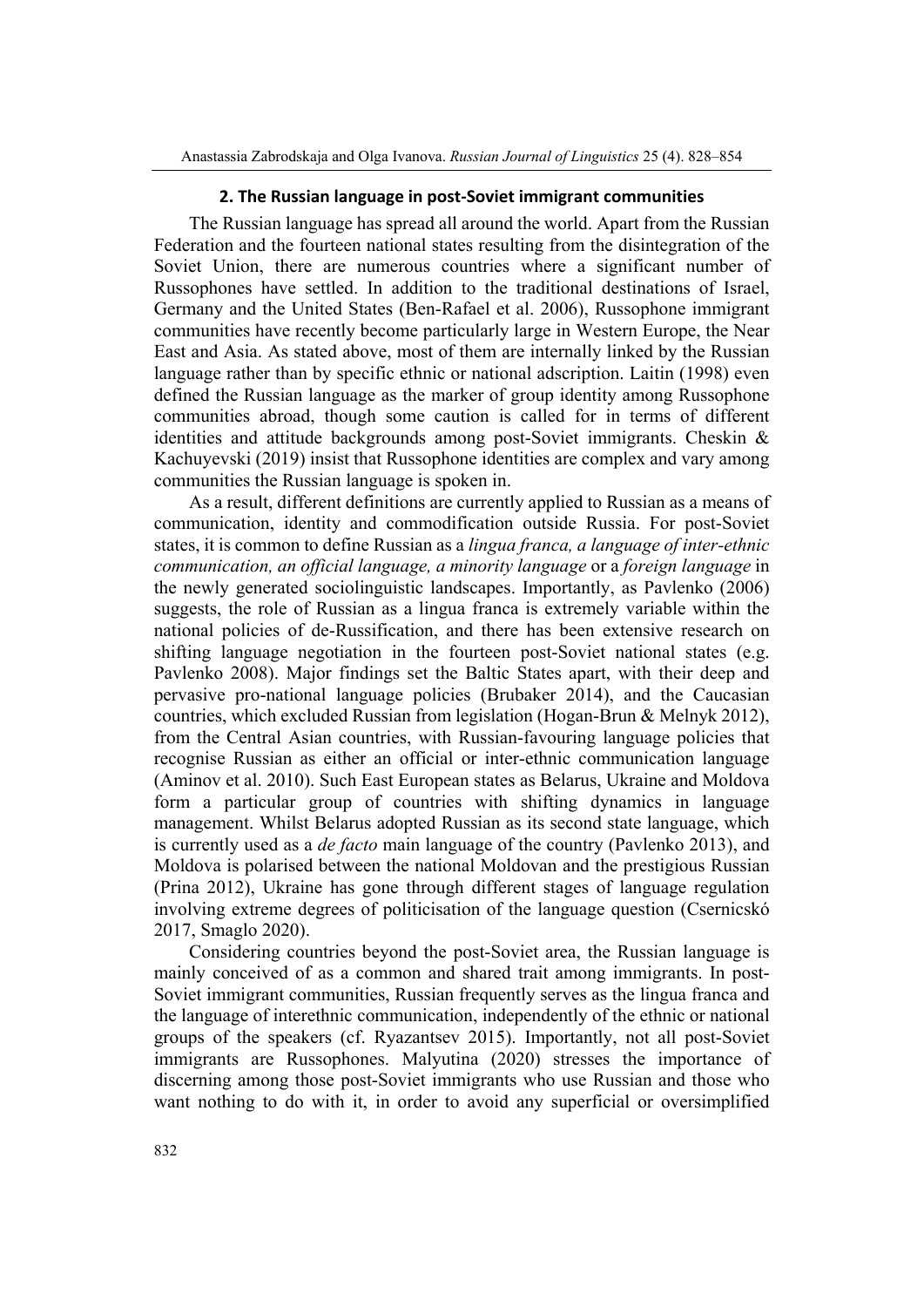## **2. The Russian language in post‐Soviet immigrant communities**

The Russian language has spread all around the world. Apart from the Russian Federation and the fourteen national states resulting from the disintegration of the Soviet Union, there are numerous countries where a significant number of Russophones have settled. In addition to the traditional destinations of Israel, Germany and the United States (Ben-Rafael et al. 2006), Russophone immigrant communities have recently become particularly large in Western Europe, the Near East and Asia. As stated above, most of them are internally linked by the Russian language rather than by specific ethnic or national adscription. Laitin (1998) even defined the Russian language as the marker of group identity among Russophone communities abroad, though some caution is called for in terms of different identities and attitude backgrounds among post-Soviet immigrants. Cheskin  $\&$ Kachuyevski (2019) insist that Russophone identities are complex and vary among communities the Russian language is spoken in.

As a result, different definitions are currently applied to Russian as a means of communication, identity and commodification outside Russia. For post-Soviet states, it is common to define Russian as a *lingua franca, a language of inter-ethnic communication, an official language, a minority language* or a *foreign language* in the newly generated sociolinguistic landscapes. Importantly, as Pavlenko (2006) suggests, the role of Russian as a lingua franca is extremely variable within the national policies of de-Russification, and there has been extensive research on shifting language negotiation in the fourteen post-Soviet national states (e.g. Pavlenko 2008). Major findings set the Baltic States apart, with their deep and pervasive pro-national language policies (Brubaker 2014), and the Caucasian countries, which excluded Russian from legislation (Hogan-Brun & Melnyk 2012), from the Central Asian countries, with Russian-favouring language policies that recognise Russian as either an official or inter-ethnic communication language (Aminov et al. 2010). Such East European states as Belarus, Ukraine and Moldova form a particular group of countries with shifting dynamics in language management. Whilst Belarus adopted Russian as its second state language, which is currently used as a *de facto* main language of the country (Pavlenko 2013), and Moldova is polarised between the national Moldovan and the prestigious Russian (Prina 2012), Ukraine has gone through different stages of language regulation involving extreme degrees of politicisation of the language question (Csernicskó 2017, Smaglo 2020).

Considering countries beyond the post-Soviet area, the Russian language is mainly conceived of as a common and shared trait among immigrants. In post-Soviet immigrant communities, Russian frequently serves as the lingua franca and the language of interethnic communication, independently of the ethnic or national groups of the speakers (cf. Ryazantsev 2015). Importantly, not all post-Soviet immigrants are Russophones. Malyutina (2020) stresses the importance of discerning among those post-Soviet immigrants who use Russian and those who want nothing to do with it, in order to avoid any superficial or oversimplified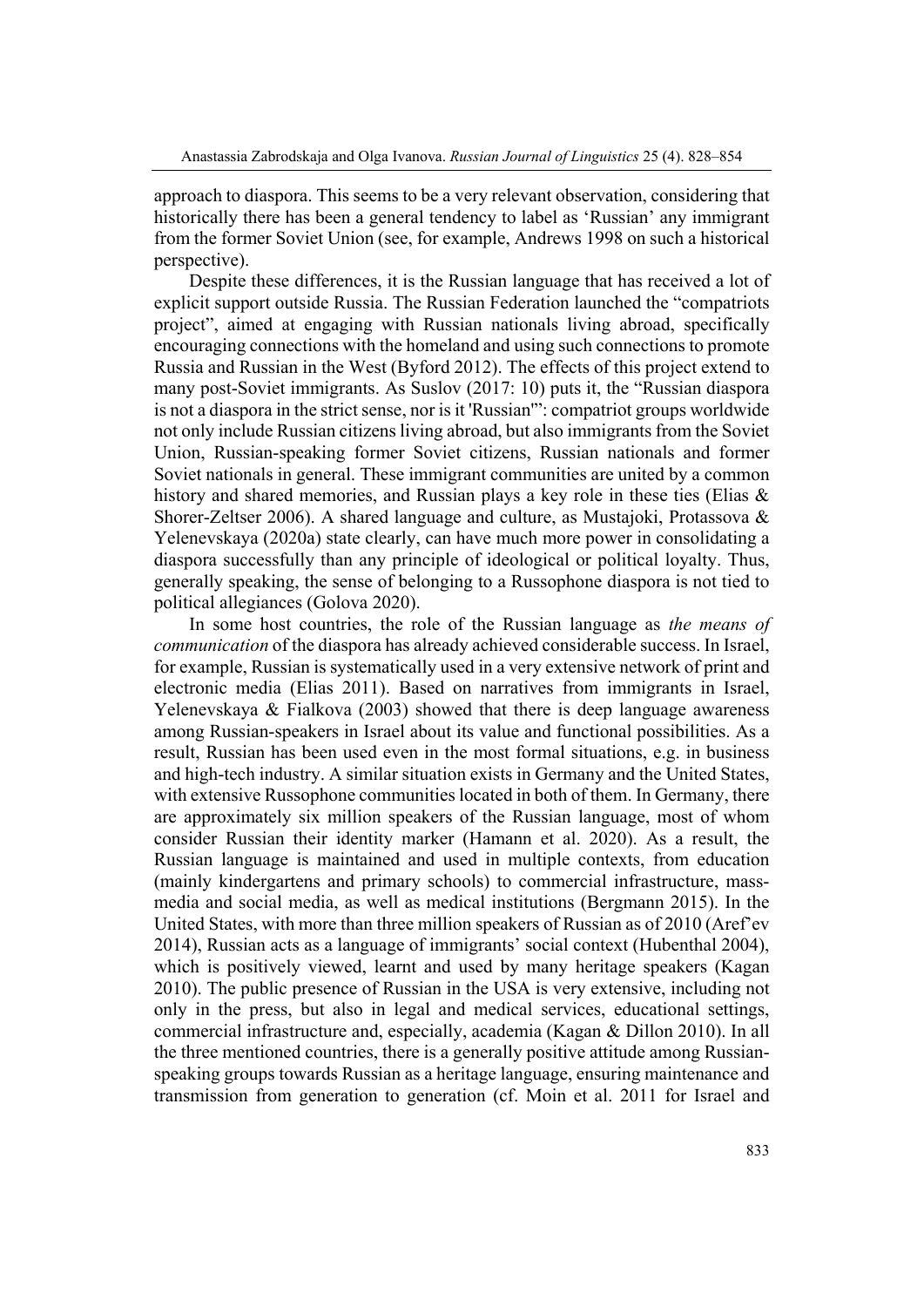approach to diaspora. This seems to be a very relevant observation, considering that historically there has been a general tendency to label as 'Russian' any immigrant from the former Soviet Union (see, for example, Andrews 1998 on such a historical perspective).

Despite these differences, it is the Russian language that has received a lot of explicit support outside Russia. The Russian Federation launched the "compatriots project", aimed at engaging with Russian nationals living abroad, specifically encouraging connections with the homeland and using such connections to promote Russia and Russian in the West (Byford 2012). The effects of this project extend to many post-Soviet immigrants. As Suslov (2017: 10) puts it, the "Russian diaspora is not a diaspora in the strict sense, nor is it 'Russian'": compatriot groups worldwide not only include Russian citizens living abroad, but also immigrants from the Soviet Union, Russian-speaking former Soviet citizens, Russian nationals and former Soviet nationals in general. These immigrant communities are united by a common history and shared memories, and Russian plays a key role in these ties (Elias & Shorer-Zeltser 2006). A shared language and culture, as Mustajoki, Protassova & Yelenevskaya (2020a) state clearly, can have much more power in consolidating a diaspora successfully than any principle of ideological or political loyalty. Thus, generally speaking, the sense of belonging to a Russophone diaspora is not tied to political allegiances (Golova 2020).

In some host countries, the role of the Russian language as *the means of communication* of the diaspora has already achieved considerable success. In Israel, for example, Russian is systematically used in a very extensive network of print and electronic media (Elias 2011). Based on narratives from immigrants in Israel, Yelenevskaya & Fialkova (2003) showed that there is deep language awareness among Russian-speakers in Israel about its value and functional possibilities. As a result, Russian has been used even in the most formal situations, e.g. in business and high-tech industry. A similar situation exists in Germany and the United States, with extensive Russophone communities located in both of them. In Germany, there are approximately six million speakers of the Russian language, most of whom consider Russian their identity marker (Hamann et al. 2020). As a result, the Russian language is maintained and used in multiple contexts, from education (mainly kindergartens and primary schools) to commercial infrastructure, massmedia and social media, as well as medical institutions (Bergmann 2015). In the United States, with more than three million speakers of Russian as of 2010 (Aref'ev 2014), Russian acts as a language of immigrants' social context (Hubenthal 2004), which is positively viewed, learnt and used by many heritage speakers (Kagan 2010). The public presence of Russian in the USA is very extensive, including not only in the press, but also in legal and medical services, educational settings, commercial infrastructure and, especially, academia (Kagan & Dillon 2010). In all the three mentioned countries, there is a generally positive attitude among Russianspeaking groups towards Russian as a heritage language, ensuring maintenance and transmission from generation to generation (cf. Moin et al. 2011 for Israel and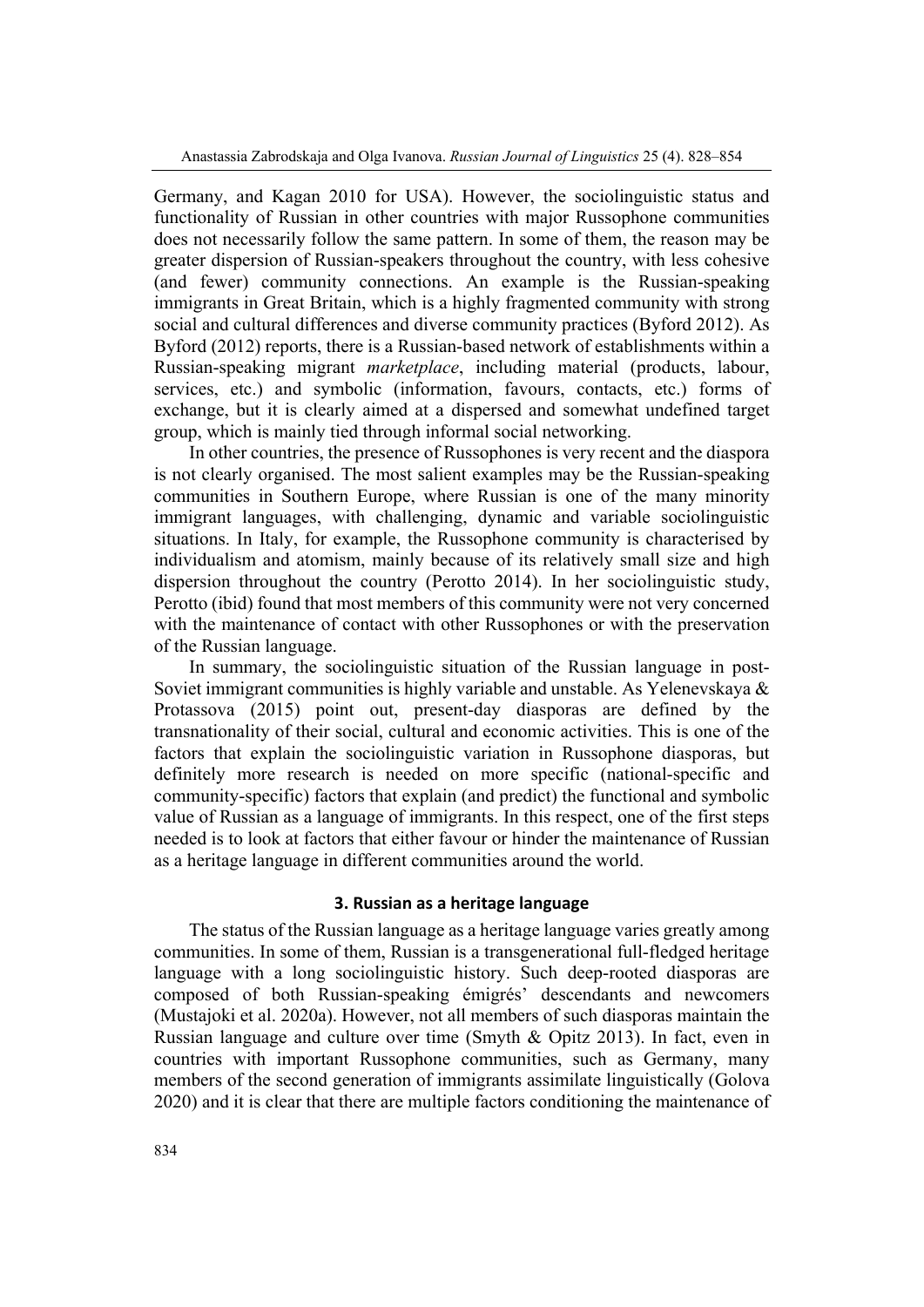Germany, and Kagan 2010 for USA). However, the sociolinguistic status and functionality of Russian in other countries with major Russophone communities does not necessarily follow the same pattern. In some of them, the reason may be greater dispersion of Russian-speakers throughout the country, with less cohesive (and fewer) community connections. An example is the Russian-speaking immigrants in Great Britain, which is a highly fragmented community with strong social and cultural differences and diverse community practices (Byford 2012). As Byford (2012) reports, there is a Russian-based network of establishments within a Russian-speaking migrant *marketplace*, including material (products, labour, services, etc.) and symbolic (information, favours, contacts, etc.) forms of exchange, but it is clearly aimed at a dispersed and somewhat undefined target group, which is mainly tied through informal social networking.

In other countries, the presence of Russophones is very recent and the diaspora is not clearly organised. The most salient examples may be the Russian-speaking communities in Southern Europe, where Russian is one of the many minority immigrant languages, with challenging, dynamic and variable sociolinguistic situations. In Italy, for example, the Russophone community is characterised by individualism and atomism, mainly because of its relatively small size and high dispersion throughout the country (Perotto 2014). In her sociolinguistic study, Perotto (ibid) found that most members of this community were not very concerned with the maintenance of contact with other Russophones or with the preservation of the Russian language.

In summary, the sociolinguistic situation of the Russian language in post-Soviet immigrant communities is highly variable and unstable. As Yelenevskaya & Protassova (2015) point out, present-day diasporas are defined by the transnationality of their social, cultural and economic activities. This is one of the factors that explain the sociolinguistic variation in Russophone diasporas, but definitely more research is needed on more specific (national-specific and community-specific) factors that explain (and predict) the functional and symbolic value of Russian as a language of immigrants. In this respect, one of the first steps needed is to look at factors that either favour or hinder the maintenance of Russian as a heritage language in different communities around the world.

## **3. Russian as a heritage language**

The status of the Russian language as a heritage language varies greatly among communities. In some of them, Russian is a transgenerational full-fledged heritage language with a long sociolinguistic history. Such deep-rooted diasporas are composed of both Russian-speaking émigrés' descendants and newcomers (Mustajoki et al. 2020a). However, not all members of such diasporas maintain the Russian language and culture over time (Smyth & Opitz 2013). In fact, even in countries with important Russophone communities, such as Germany, many members of the second generation of immigrants assimilate linguistically (Golova 2020) and it is clear that there are multiple factors conditioning the maintenance of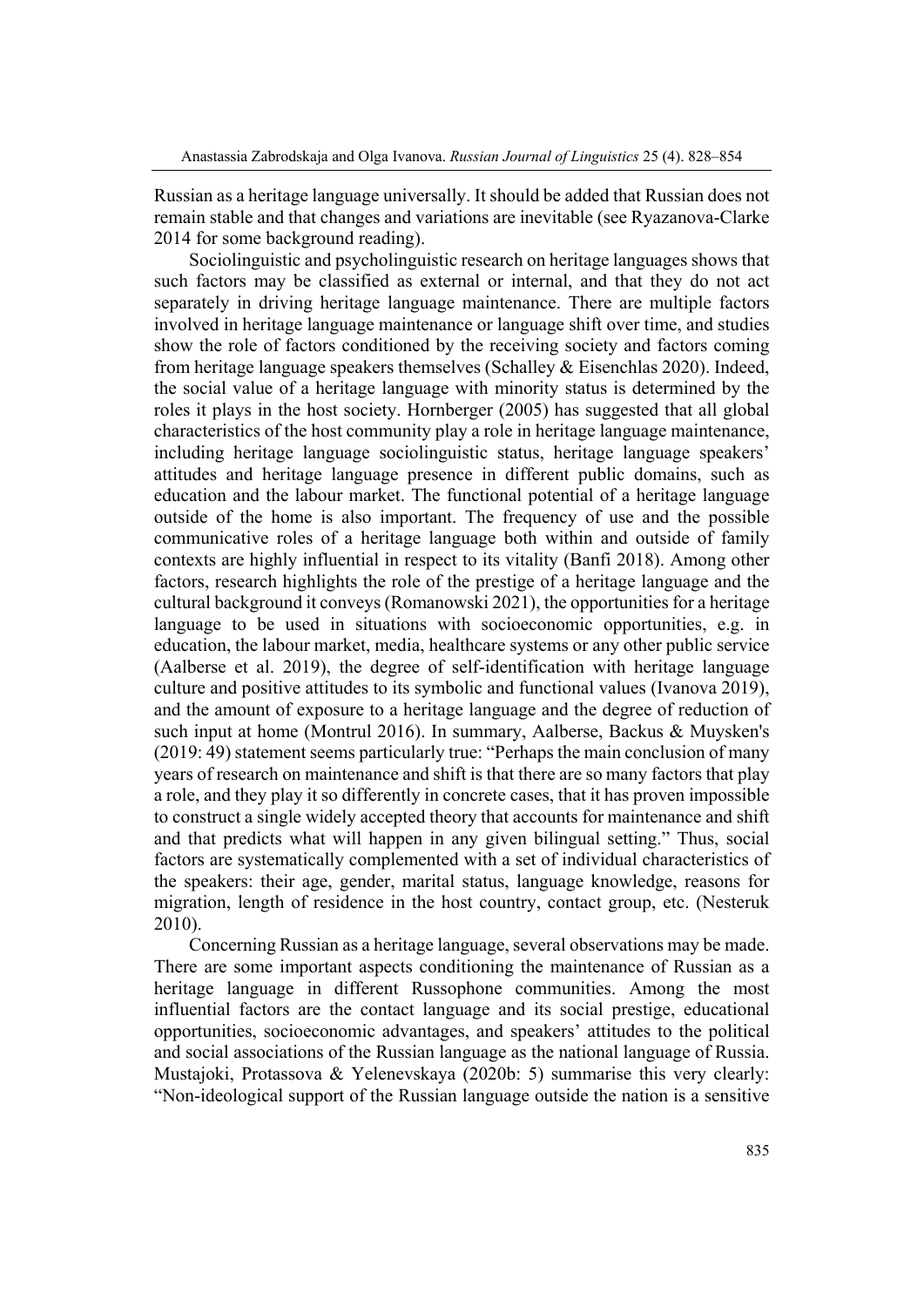Russian as a heritage language universally. It should be added that Russian does not remain stable and that changes and variations are inevitable (see Ryazanova-Clarke 2014 for some background reading).

Sociolinguistic and psycholinguistic research on heritage languages shows that such factors may be classified as external or internal, and that they do not act separately in driving heritage language maintenance. There are multiple factors involved in heritage language maintenance or language shift over time, and studies show the role of factors conditioned by the receiving society and factors coming from heritage language speakers themselves (Schalley & Eisenchlas 2020). Indeed, the social value of a heritage language with minority status is determined by the roles it plays in the host society. Hornberger (2005) has suggested that all global characteristics of the host community play a role in heritage language maintenance, including heritage language sociolinguistic status, heritage language speakers' attitudes and heritage language presence in different public domains, such as education and the labour market. The functional potential of a heritage language outside of the home is also important. The frequency of use and the possible communicative roles of a heritage language both within and outside of family contexts are highly influential in respect to its vitality (Banfi 2018). Among other factors, research highlights the role of the prestige of a heritage language and the cultural background it conveys (Romanowski 2021), the opportunities for a heritage language to be used in situations with socioeconomic opportunities, e.g. in education, the labour market, media, healthcare systems or any other public service (Aalberse et al. 2019), the degree of self-identification with heritage language culture and positive attitudes to its symbolic and functional values (Ivanova 2019), and the amount of exposure to a heritage language and the degree of reduction of such input at home (Montrul 2016). In summary, Aalberse, Backus & Muysken's (2019: 49) statement seems particularly true: "Perhaps the main conclusion of many years of research on maintenance and shift is that there are so many factors that play a role, and they play it so differently in concrete cases, that it has proven impossible to construct a single widely accepted theory that accounts for maintenance and shift and that predicts what will happen in any given bilingual setting." Thus, social factors are systematically complemented with a set of individual characteristics of the speakers: their age, gender, marital status, language knowledge, reasons for migration, length of residence in the host country, contact group, etc. (Nesteruk 2010).

Concerning Russian as a heritage language, several observations may be made. There are some important aspects conditioning the maintenance of Russian as a heritage language in different Russophone communities. Among the most influential factors are the contact language and its social prestige, educational opportunities, socioeconomic advantages, and speakers' attitudes to the political and social associations of the Russian language as the national language of Russia. Mustajoki, Protassova & Yelenevskaya (2020b: 5) summarise this very clearly: "Non-ideological support of the Russian language outside the nation is a sensitive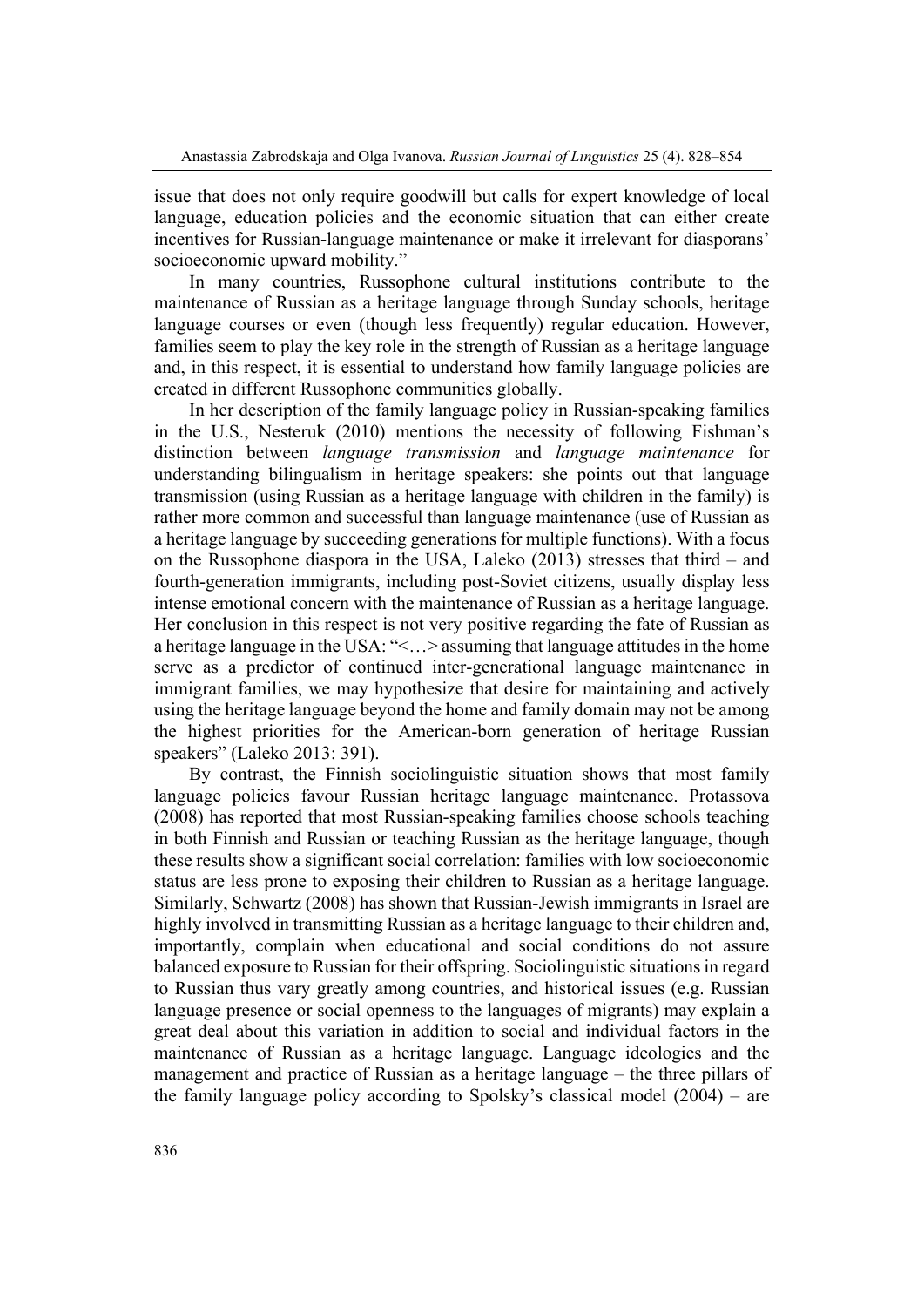issue that does not only require goodwill but calls for expert knowledge of local language, education policies and the economic situation that can either create incentives for Russian-language maintenance or make it irrelevant for diasporans' socioeconomic upward mobility."

In many countries, Russophone cultural institutions contribute to the maintenance of Russian as a heritage language through Sunday schools, heritage language courses or even (though less frequently) regular education. However, families seem to play the key role in the strength of Russian as a heritage language and, in this respect, it is essential to understand how family language policies are created in different Russophone communities globally.

In her description of the family language policy in Russian-speaking families in the U.S., Nesteruk (2010) mentions the necessity of following Fishman's distinction between *language transmission* and *language maintenance* for understanding bilingualism in heritage speakers: she points out that language transmission (using Russian as a heritage language with children in the family) is rather more common and successful than language maintenance (use of Russian as a heritage language by succeeding generations for multiple functions). With a focus on the Russophone diaspora in the USA, Laleko (2013) stresses that third – and fourth-generation immigrants, including post-Soviet citizens, usually display less intense emotional concern with the maintenance of Russian as a heritage language. Her conclusion in this respect is not very positive regarding the fate of Russian as a heritage language in the USA: "<…> assuming that language attitudes in the home serve as a predictor of continued inter-generational language maintenance in immigrant families, we may hypothesize that desire for maintaining and actively using the heritage language beyond the home and family domain may not be among the highest priorities for the American-born generation of heritage Russian speakers" (Laleko 2013: 391).

By contrast, the Finnish sociolinguistic situation shows that most family language policies favour Russian heritage language maintenance. Protassova (2008) has reported that most Russian-speaking families choose schools teaching in both Finnish and Russian or teaching Russian as the heritage language, though these results show a significant social correlation: families with low socioeconomic status are less prone to exposing their children to Russian as a heritage language. Similarly, Schwartz (2008) has shown that Russian-Jewish immigrants in Israel are highly involved in transmitting Russian as a heritage language to their children and, importantly, complain when educational and social conditions do not assure balanced exposure to Russian for their offspring. Sociolinguistic situations in regard to Russian thus vary greatly among countries, and historical issues (e.g. Russian language presence or social openness to the languages of migrants) may explain a great deal about this variation in addition to social and individual factors in the maintenance of Russian as a heritage language. Language ideologies and the management and practice of Russian as a heritage language – the three pillars of the family language policy according to Spolsky's classical model (2004) – are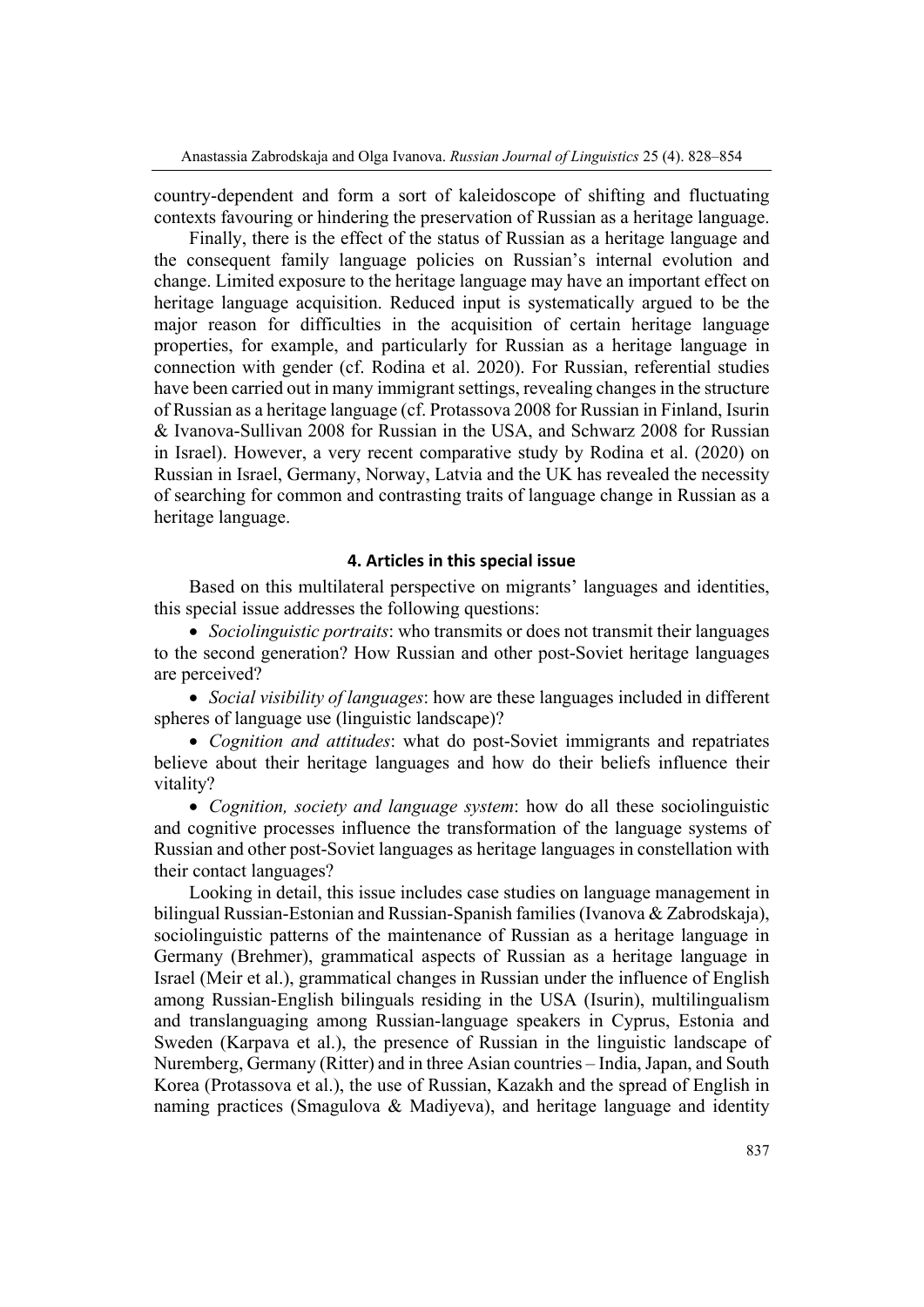country-dependent and form a sort of kaleidoscope of shifting and fluctuating contexts favouring or hindering the preservation of Russian as a heritage language.

Finally, there is the effect of the status of Russian as a heritage language and the consequent family language policies on Russian's internal evolution and change. Limited exposure to the heritage language may have an important effect on heritage language acquisition. Reduced input is systematically argued to be the major reason for difficulties in the acquisition of certain heritage language properties, for example, and particularly for Russian as a heritage language in connection with gender (cf. Rodina et al. 2020). For Russian, referential studies have been carried out in many immigrant settings, revealing changes in the structure of Russian as a heritage language (cf. Protassova 2008 for Russian in Finland, Isurin & Ivanova-Sullivan 2008 for Russian in the USA, and Schwarz 2008 for Russian in Israel). However, a very recent comparative study by Rodina et al. (2020) on Russian in Israel, Germany, Norway, Latvia and the UK has revealed the necessity of searching for common and contrasting traits of language change in Russian as a heritage language.

## **4. Articles in this special issue**

Based on this multilateral perspective on migrants' languages and identities, this special issue addresses the following questions:

 *Sociolinguistic portraits*: who transmits or does not transmit their languages to the second generation? How Russian and other post-Soviet heritage languages are perceived?

 *Social visibility of languages*: how are these languages included in different spheres of language use (linguistic landscape)?

 *Cognition and attitudes*: what do post-Soviet immigrants and repatriates believe about their heritage languages and how do their beliefs influence their vitality?

 *Cognition, society and language system*: how do all these sociolinguistic and cognitive processes influence the transformation of the language systems of Russian and other post-Soviet languages as heritage languages in constellation with their contact languages?

Looking in detail, this issue includes case studies on language management in bilingual Russian-Estonian and Russian-Spanish families (Ivanova & Zabrodskaja), sociolinguistic patterns of the maintenance of Russian as a heritage language in Germany (Brehmer), grammatical aspects of Russian as a heritage language in Israel (Meir et al.), grammatical changes in Russian under the influence of English among Russian-English bilinguals residing in the USA (Isurin), multilingualism and translanguaging among Russian-language speakers in Cyprus, Estonia and Sweden (Karpava et al.), the presence of Russian in the linguistic landscape of Nuremberg, Germany (Ritter) and in three Asian countries – India, Japan, and South Korea (Protassova et al.), the use of Russian, Kazakh and the spread of English in naming practices (Smagulova & Madiyeva), and heritage language and identity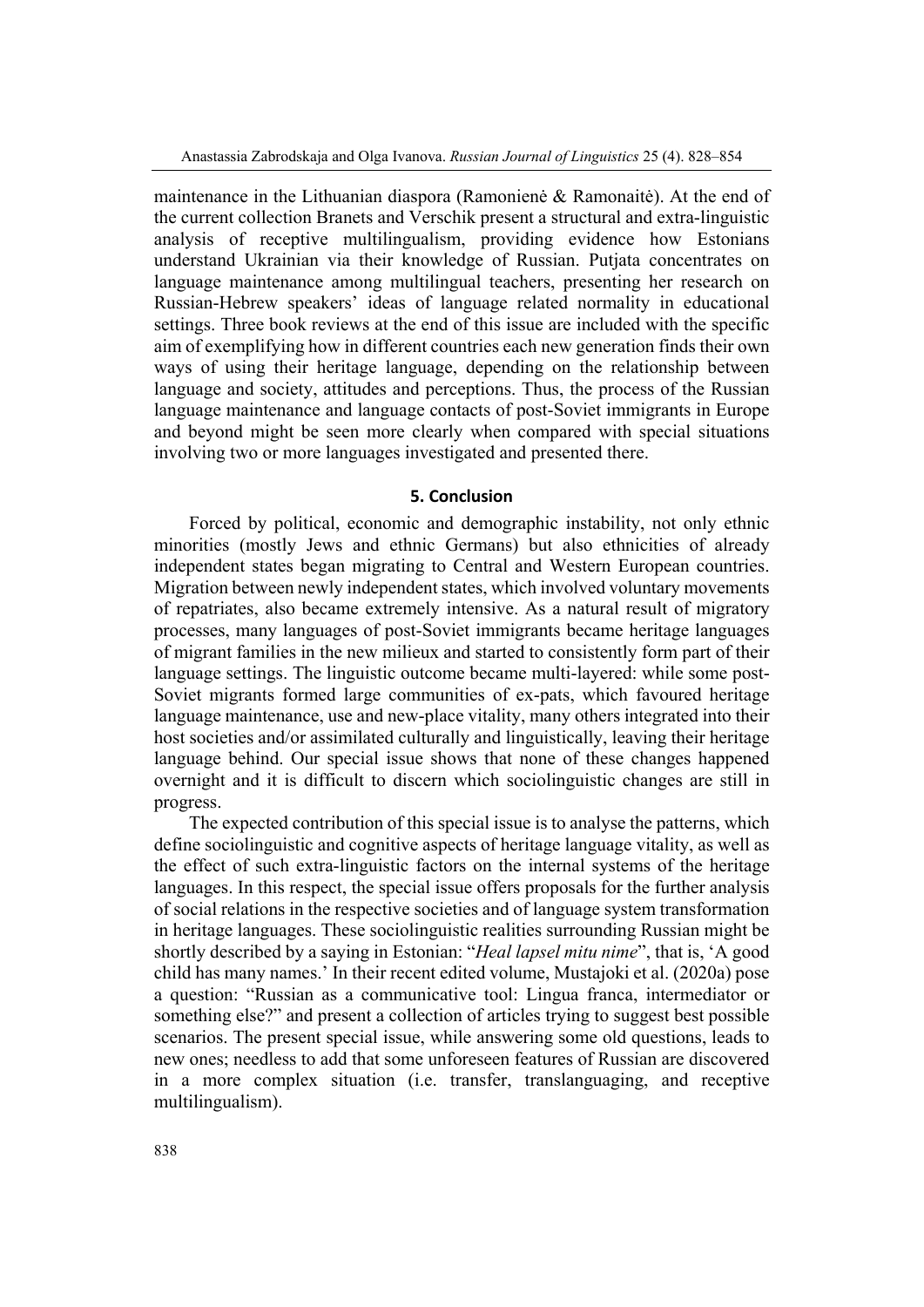maintenance in the Lithuanian diaspora (Ramonienė & Ramonaitė). At the end of the current collection Branets and Verschik present a structural and extra-linguistic analysis of receptive multilingualism, providing evidence how Estonians understand Ukrainian via their knowledge of Russian. Putjata concentrates on language maintenance among multilingual teachers, presenting her research on Russian-Hebrew speakers' ideas of language related normality in educational settings. Three book reviews at the end of this issue are included with the specific aim of exemplifying how in different countries each new generation finds their own ways of using their heritage language, depending on the relationship between language and society, attitudes and perceptions. Thus, the process of the Russian language maintenance and language contacts of post-Soviet immigrants in Europe and beyond might be seen more clearly when compared with special situations involving two or more languages investigated and presented there.

## **5. Conclusion**

Forced by political, economic and demographic instability, not only ethnic minorities (mostly Jews and ethnic Germans) but also ethnicities of already independent states began migrating to Central and Western European countries. Migration between newly independent states, which involved voluntary movements of repatriates, also became extremely intensive. As a natural result of migratory processes, many languages of post-Soviet immigrants became heritage languages of migrant families in the new milieux and started to consistently form part of their language settings. The linguistic outcome became multi-layered: while some post-Soviet migrants formed large communities of ex-pats, which favoured heritage language maintenance, use and new-place vitality, many others integrated into their host societies and/or assimilated culturally and linguistically, leaving their heritage language behind. Our special issue shows that none of these changes happened overnight and it is difficult to discern which sociolinguistic changes are still in progress.

The expected contribution of this special issue is to analyse the patterns, which define sociolinguistic and cognitive aspects of heritage language vitality, as well as the effect of such extra-linguistic factors on the internal systems of the heritage languages. In this respect, the special issue offers proposals for the further analysis of social relations in the respective societies and of language system transformation in heritage languages. These sociolinguistic realities surrounding Russian might be shortly described by a saying in Estonian: "*Heal lapsel mitu nime*", that is, 'A good child has many names.' In their recent edited volume, Mustajoki et al. (2020a) pose a question: "Russian as a communicative tool: Lingua franca, intermediator or something else?" and present a collection of articles trying to suggest best possible scenarios. The present special issue, while answering some old questions, leads to new ones; needless to add that some unforeseen features of Russian are discovered in a more complex situation (i.e. transfer, translanguaging, and receptive multilingualism).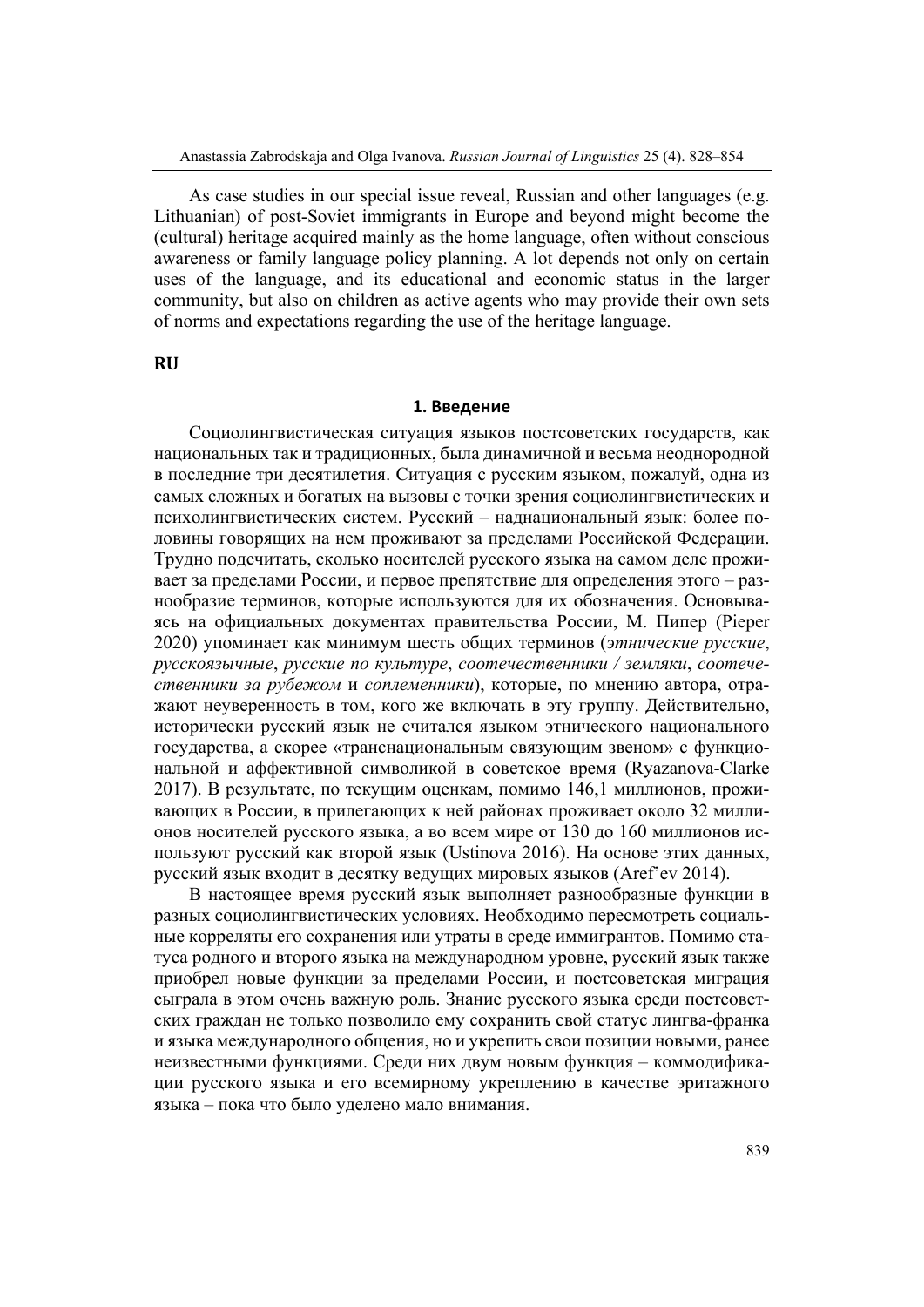As case studies in our special issue reveal, Russian and other languages (e.g. Lithuanian) of post-Soviet immigrants in Europe and beyond might become the (cultural) heritage acquired mainly as the home language, often without conscious awareness or family language policy planning. A lot depends not only on certain uses of the language, and its educational and economic status in the larger community, but also on children as active agents who may provide their own sets of norms and expectations regarding the use of the heritage language.

**RU**

#### **1. Введение**

Социолингвистическая ситуация языков постсоветских государств, как национальных так и традиционных, была динамичной и весьма неоднородной в последние три десятилетия. Ситуация с русским языком, пожалуй, одна из самых сложных и богатых на вызовы с точки зрения социолингвистических и психолингвистических систем. Русский – наднациональный язык: более половины говорящих на нем проживают за пределами Российской Федерации. Трудно подсчитать, сколько носителей русского языка на самом деле проживает за пределами России, и первое препятствие для определения этого – разнообразие терминов, которые используются для их обозначения. Основываясь на официальных документах правительства России, М. Пипер (Pieper 2020) упоминает как минимум шесть общих терминов (*этнические русские*, *русскоязычные*, *русские по культуре*, *соотечественники / земляки*, *соотечественники за рубежом* и *соплеменники*), которые, по мнению автора, отражают неуверенность в том, кого же включать в эту группу. Действительно, исторически русский язык не считался языком этнического национального государства, а скорее «транснациональным связующим звеном» с функциональной и аффективной символикой в советское время (Ryazanova-Clarke 2017). В результате, по текущим оценкам, помимо 146,1 миллионов, проживающих в России, в прилегающих к ней районах проживает около 32 миллионов носителей русского языка, а во всем мире от 130 до 160 миллионов используют русский как второй язык (Ustinova 2016). На основе этих данных, русский язык входит в десятку ведущих мировых языков (Aref'ev 2014).

В настоящее время русский язык выполняет разнообразные функции в разных социолингвистических условиях. Необходимо пересмотреть социальные корреляты его сохранения или утраты в среде иммигрантов. Помимо статуса родного и второго языка на международном уровне, русский язык также приобрел новые функции за пределами России, и постсоветская миграция сыграла в этом очень важную роль. Знание русского языка среди постсоветских граждан не только позволило ему сохранить свой статус лингва-франка и языка международного общения, но и укрепить свои позиции новыми, ранее неизвестными функциями. Среди них двум новым функция – коммодификации русского языка и его всемирному укреплению в качестве эритажного языка – пока что было уделено мало внимания.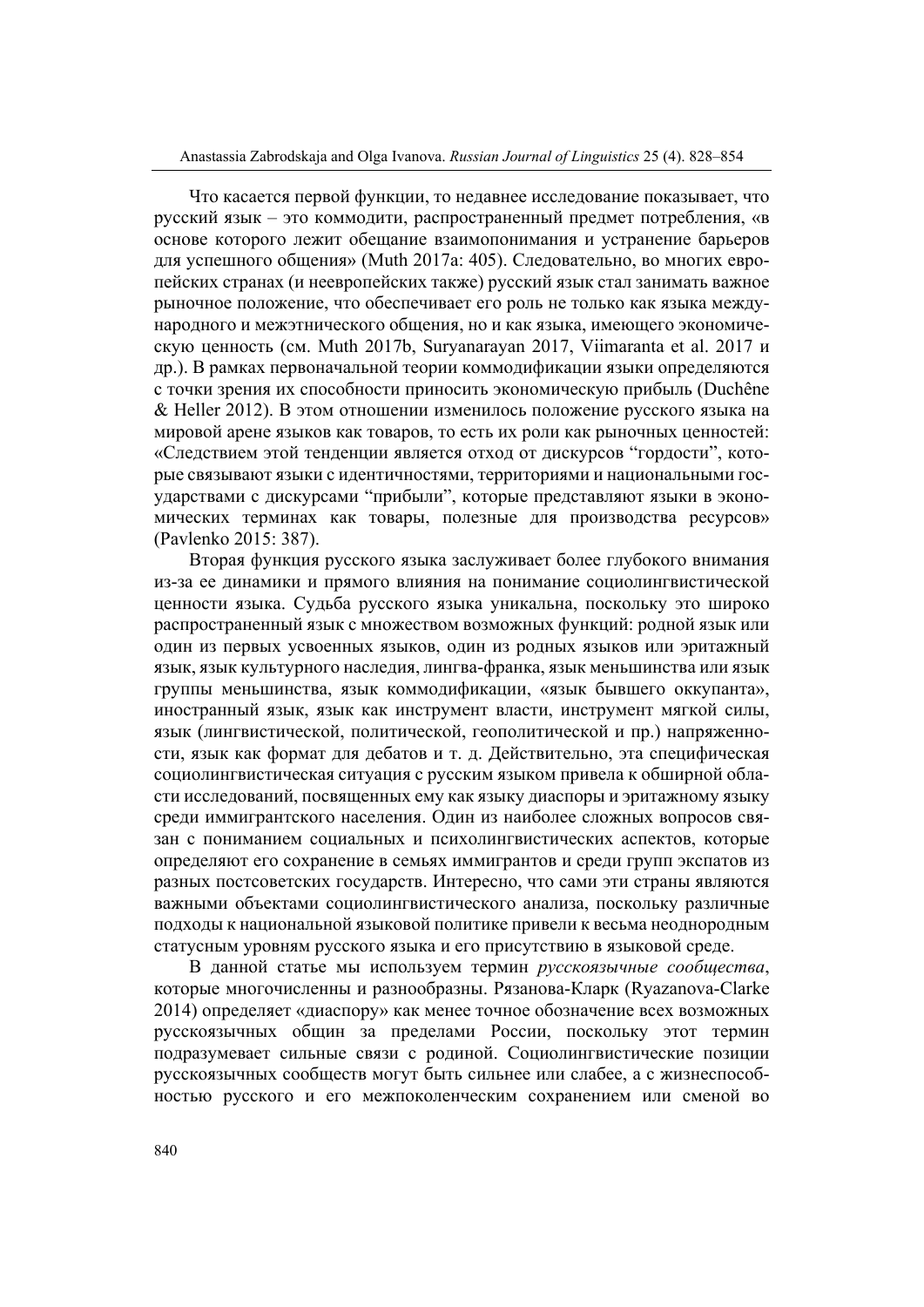Что касается первой функции, то недавнее исследование показывает, что русский язык – это коммодити, распространенный предмет потребления, «в основе которого лежит обещание взаимопонимания и устранение барьеров для успешного общения» (Muth 2017a: 405). Следовательно, во многих европейских странах (и неевропейских также) русский язык стал занимать важное рыночное положение, что обеспечивает его роль не только как языка международного и межэтнического общения, но и как языка, имеющего экономическую ценность (см. Muth 2017b, Suryanarayan 2017, Viimaranta et al. 2017 и др.). В рамках первоначальной теории коммодификации языки определяются с точки зрения их способности приносить экономическую прибыль (Duchêne & Heller 2012). В этом отношении изменилось положение русского языка на мировой арене языков как товаров, то есть их роли как рыночных ценностей: «Следствием этой тенденции является отход от дискурсов "гордости", которые связывают языки с идентичностями, территориями и национальными государствами с дискурсами "прибыли", которые представляют языки в экономических терминах как товары, полезные для производства ресурсов» (Pavlenko 2015: 387).

Вторая функция русского языка заслуживает более глубокого внимания из-за ее динамики и прямого влияния на понимание социолингвистической ценности языка. Судьба русского языка уникальна, поскольку это широко распространенный язык с множеством возможных функций: родной язык или один из первых усвоенных языков, один из родных языков или эритажный язык, язык культурного наследия, лингва-франка, язык меньшинства или язык группы меньшинства, язык коммодификации, «язык бывшего оккупанта», иностранный язык, язык как инструмент власти, инструмент мягкой силы, язык (лингвистической, политической, геополитической и пр.) напряженности, язык как формат для дебатов и т. д. Действительно, эта специфическая социолингвистическая ситуация с русским языком привела к обширной области исследований, посвященных ему как языку диаспоры и эритажному языку среди иммигрантского населения. Один из наиболее сложных вопросов связан с пониманием социальных и психолингвистических аспектов, которые определяют его сохранение в семьях иммигрантов и среди групп экспатов из разных постсоветских государств. Интересно, что сами эти страны являются важными объектами социолингвистического анализа, поскольку различные подходы к национальной языковой политике привели к весьма неоднородным статусным уровням русского языка и его присутствию в языковой среде.

В данной статье мы используем термин *русскоязычные сообщества*, которые многочисленны и разнообразны. Рязанова-Кларк (Ryazanova-Clarke 2014) определяет «диаспору» как менее точное обозначение всех возможных русскоязычных общин за пределами России, поскольку этот термин подразумевает сильные связи с родиной. Социолингвистические позиции русскоязычных сообществ могут быть сильнее или слабее, а с жизнеспособностью русского и его межпоколенческим сохранением или сменой во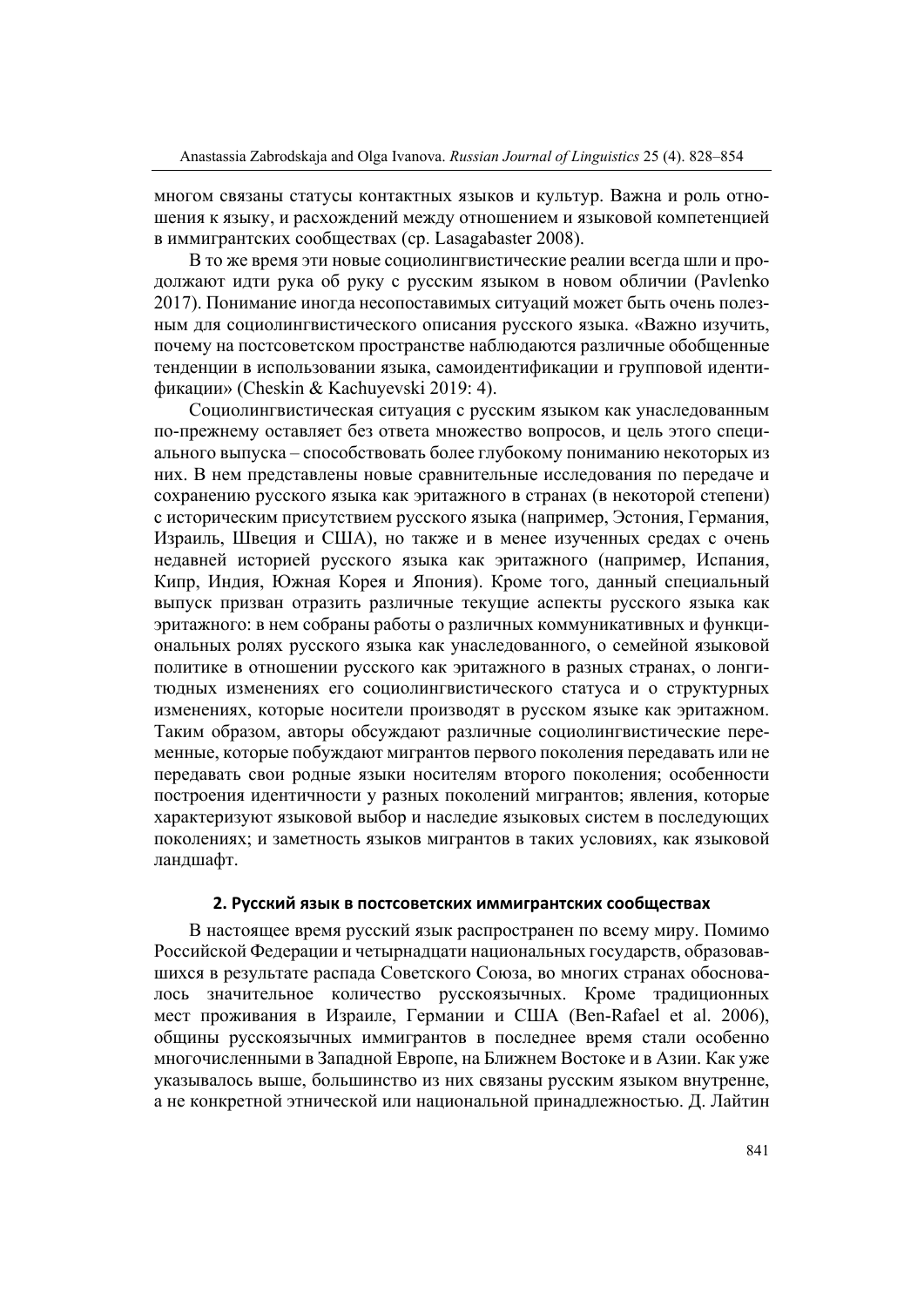многом связаны статусы контактных языков и культур. Важна и роль отношения к языку, и расхождений между отношением и языковой компетенцией в иммигрантских сообществах (ср. Lasagabaster 2008).

В то же время эти новые социолингвистические реалии всегда шли и продолжают идти рука об руку с русским языком в новом обличии (Pavlenko 2017). Понимание иногда несопоставимых ситуаций может быть очень полезным для социолингвистического описания русского языка. «Важно изучить, почему на постсоветском пространстве наблюдаются различные обобщенные тенденции в использовании языка, самоидентификации и групповой идентификации» (Cheskin & Kachuyevski 2019: 4).

Социолингвистическая ситуация с русским языком как унаследованным по-прежнему оставляет без ответа множество вопросов, и цель этого специального выпуска – способствовать более глубокому пониманию некоторых из них. В нем представлены новые сравнительные исследования по передаче и сохранению русского языка как эритажного в странах (в некоторой степени) с историческим присутствием русского языка (например, Эстония, Германия, Израиль, Швеция и США), но также и в менее изученных средах с очень недавней историей русского языка как эритажного (например, Испания, Кипр, Индия, Южная Корея и Япония). Кроме того, данный специальный выпуск призван отразить различные текущие аспекты русского языка как эритажного: в нем собраны работы о различных коммуникативных и функциональных ролях русского языка как унаследованного, о семейной языковой политике в отношении русского как эритажного в разных странах, о лонгитюдных изменениях его социолингвистического статуса и о структурных изменениях, которые носители производят в русском языке как эритажном. Таким образом, авторы обсуждают различные социолингвистические переменные, которые побуждают мигрантов первого поколения передавать или не передавать свои родные языки носителям второго поколения; особенности построения идентичности у разных поколений мигрантов; явления, которые характеризуют языковой выбор и наследие языковых систем в последующих поколениях; и заметность языков мигрантов в таких условиях, как языковой ландшафт.

#### **2. Русский язык в постсоветских иммигрантских сообществах**

В настоящее время русский язык распространен по всему миру. Помимо Российской Федерации и четырнадцати национальных государств, образовавшихся в результате распада Советского Союза, во многих странах обосновалось значительное количество русскоязычных. Кроме традиционных мест проживания в Израиле, Германии и США (Ben-Rafael et al. 2006), общины русскоязычных иммигрантов в последнее время стали особенно многочисленными в Западной Европе, на Ближнем Востоке и в Азии. Как уже указывалось выше, большинство из них связаны русским языком внутренне, а не конкретной этнической или национальной принадлежностью. Д. Лайтин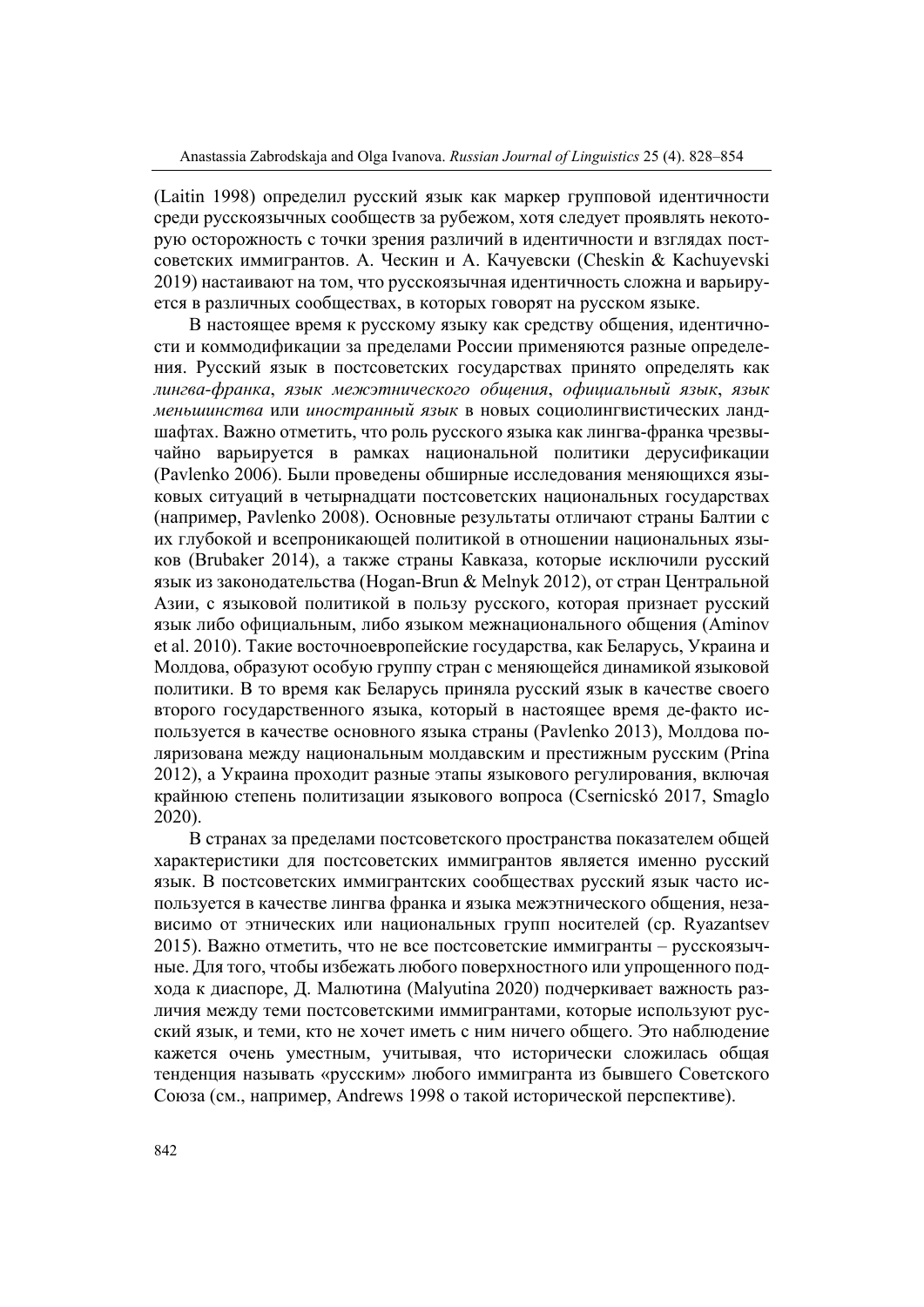(Laitin 1998) определил русский язык как маркер групповой идентичности среди русскоязычных сообществ за рубежом, хотя следует проявлять некоторую осторожность с точки зрения различий в идентичности и взглядах постсоветских иммигрантов. А. Ческин и А. Качуевски (Cheskin & Kachuyevski 2019) настаивают на том, что русскоязычная идентичность сложна и варьируется в различных сообществах, в которых говорят на русском языке.

В настоящее время к русскому языку как средству общения, идентичности и коммодификации за пределами России применяются разные определения. Русский язык в постсоветских государствах принято определять как *лингва-франка*, *язык межэтнического общения*, *официальный язык*, *язык меньшинства* или *иностранный язык* в новых социолингвистических ландшафтах. Важно отметить, что роль русского языка как лингва-франка чрезвычайно варьируется в рамках национальной политики дерусификации (Pavlenko 2006). Были проведены обширные исследования меняющихся языковых ситуаций в четырнадцати постсоветских национальных государствах (например, Pavlenko 2008). Основные результаты отличают страны Балтии с их глубокой и всепроникающей политикой в отношении национальных языков (Brubaker 2014), а также страны Кавказа, которые исключили русский язык из законодательства (Hogan-Brun & Melnyk 2012), от стран Центральной Азии, с языковой политикой в пользу русского, которая признает русский язык либо официальным, либо языком межнационального общения (Aminov et al. 2010). Такие восточноевропейские государства, как Беларусь, Украина и Молдова, образуют особую группу стран с меняющейся динамикой языковой политики. В то время как Беларусь приняла русский язык в качестве своего второго государственного языка, который в настоящее время де-факто используется в качестве основного языка страны (Pavlenko 2013), Молдова поляризована между национальным молдавским и престижным русским (Prina 2012), а Украина проходит разные этапы языкового регулирования, включая крайнюю степень политизации языкового вопроса (Csernicskó 2017, Smaglo 2020).

В странах за пределами постсоветского пространства показателем общей характеристики для постсоветских иммигрантов является именно русский язык. В постсоветских иммигрантских сообществах русский язык часто используется в качестве лингва франка и языка межэтнического общения, независимо от этнических или национальных групп носителей (ср. Ryazantsev 2015). Важно отметить, что не все постсоветские иммигранты – русскоязычные. Для того, чтобы избежать любого поверхностного или упрощенного подхода к диаспоре, Д. Малютина (Malyutina 2020) подчеркивает важность различия между теми постсоветскими иммигрантами, которые используют русский язык, и теми, кто не хочет иметь с ним ничего общего. Это наблюдение кажется очень уместным, учитывая, что исторически сложилась общая тенденция называть «русским» любого иммигранта из бывшего Советского Союза (см., например, Andrews 1998 о такой исторической перспективе).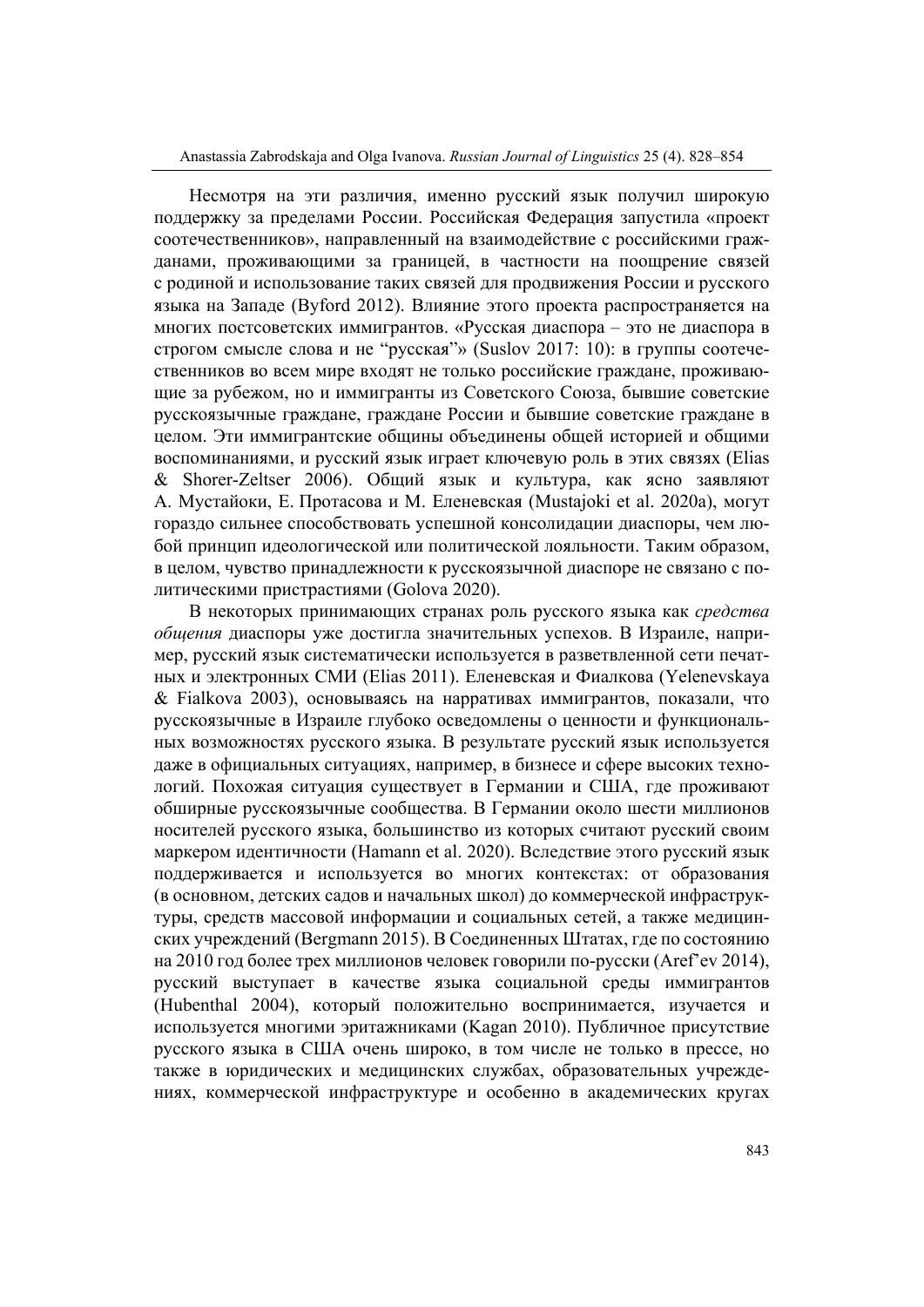Несмотря на эти различия, именно русский язык получил широкую поддержку за пределами России. Российская Федерация запустила «проект соотечественников», направленный на взаимодействие с российскими гражданами, проживающими за границей, в частности на поощрение связей с родиной и использование таких связей для продвижения России и русского языка на Западе (Byford 2012). Влияние этого проекта распространяется на многих постсоветских иммигрантов. «Русская диаспора – это не диаспора в строгом смысле слова и не "русская"» (Suslov 2017: 10): в группы соотечественников во всем мире входят не только российские граждане, проживающие за рубежом, но и иммигранты из Советского Союза, бывшие советские русскоязычные граждане, граждане России и бывшие советские граждане в целом. Эти иммигрантские общины объединены общей историей и общими воспоминаниями, и русский язык играет ключевую роль в этих связях (Elias & Shorer-Zeltser 2006). Общий язык и культура, как ясно заявляют А. Мустайоки, Е. Протасова и М. Еленевская (Mustajoki et al. 2020a), могут гораздо сильнее способствовать успешной консолидации диаспоры, чем любой принцип идеологической или политической лояльности. Таким образом, в целом, чувство принадлежности к русскоязычной диаспоре не связано с политическими пристрастиями (Golova 2020).

В некоторых принимающих странах роль русского языка как *средства общения* диаспоры уже достигла значительных успехов. В Израиле, например, русский язык систематически используется в разветвленной сети печатных и электронных СМИ (Elias 2011). Еленевская и Фиалкова (Yelenevskaya & Fialkova 2003), основываясь на нарративах иммигрантов, показали, что русскоязычные в Израиле глубоко осведомлены о ценности и функциональных возможностях русского языка. В результате русский язык используется даже в официальных ситуациях, например, в бизнесе и сфере высоких технологий. Похожая ситуация существует в Германии и США, где проживают обширные русскоязычные сообщества. В Германии около шести миллионов носителей русского языка, большинство из которых считают русский своим маркером идентичности (Hamann et al. 2020). Вследствие этого русский язык поддерживается и используется во многих контекстах: от образования (в основном, детских садов и начальных школ) до коммерческой инфраструктуры, средств массовой информации и социальных сетей, а также медицинских учреждений (Bergmann 2015). В Соединенных Штатах, где по состоянию на 2010 год более трех миллионов человек говорили по-русски (Aref'ev 2014), русский выступает в качестве языка социальной среды иммигрантов (Hubenthal 2004), который положительно воспринимается, изучается и используется многими эритажниками (Kagan 2010). Публичное присутствие русского языка в США очень широко, в том числе не только в прессе, но также в юридических и медицинских службах, образовательных учреждениях, коммерческой инфраструктуре и особенно в академических кругах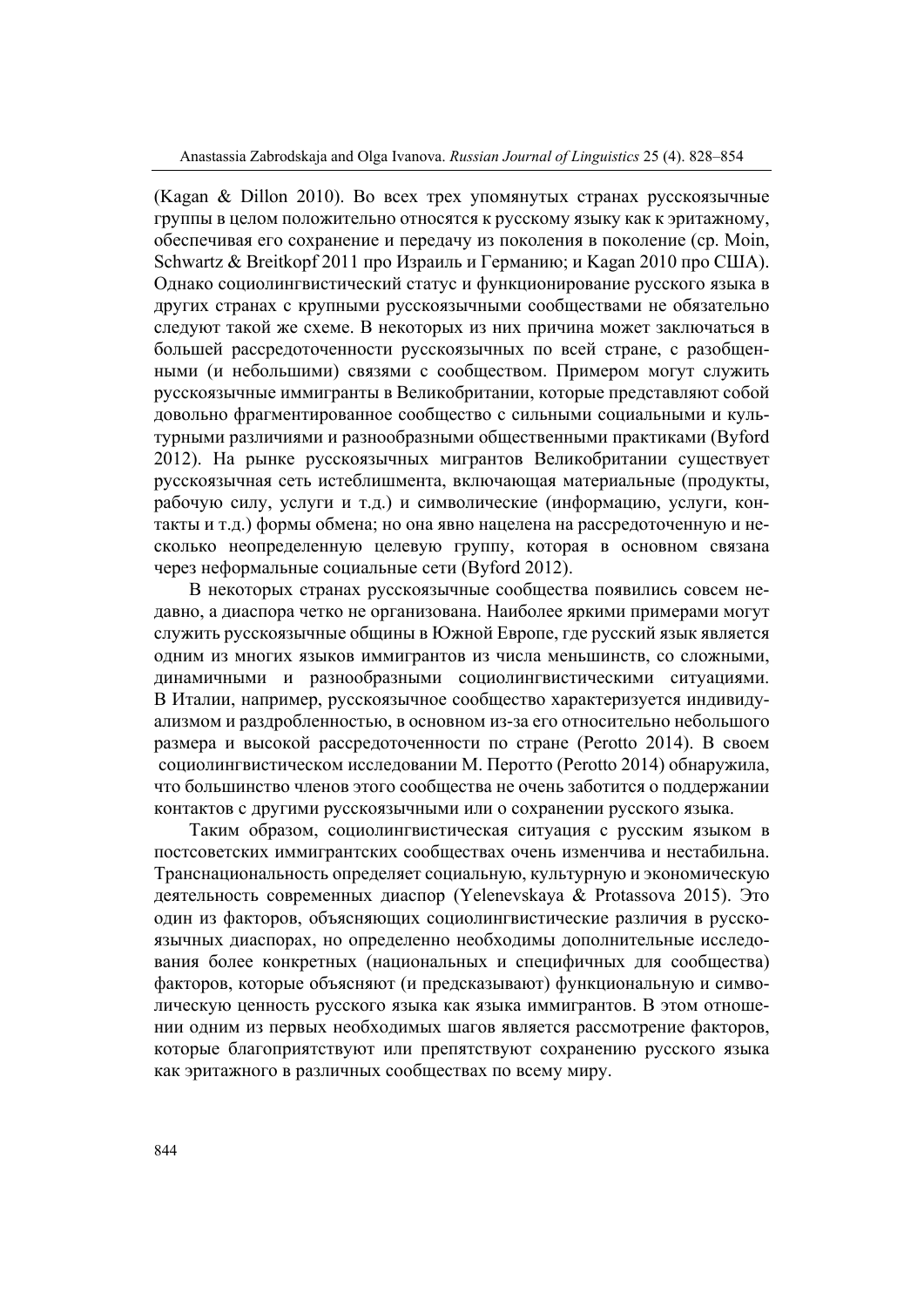(Kagan & Dillon 2010). Во всех трех упомянутых странах русскоязычные группы в целом положительно относятся к русскому языку как к эритажному, обеспечивая его сохранение и передачу из поколения в поколение (ср. Moin, Schwartz & Breitkopf 2011 про Израиль и Германию; и Kagan 2010 про США). Однако социолингвистический статус и функционирование русского языка в других странах с крупными русскоязычными сообществами не обязательно следуют такой же схеме. В некоторых из них причина может заключаться в большей рассредоточенности русскоязычных по всей стране, с разобщенными (и небольшими) связями с сообществом. Примером могут служить русскоязычные иммигранты в Великобритании, которые представляют собой довольно фрагментированное сообщество с сильными социальными и культурными различиями и разнообразными общественными практиками (Byford 2012). На рынке русскоязычных мигрантов Великобритании существует русскоязычная сеть истеблишмента, включающая материальные (продукты, рабочую силу, услуги и т.д.) и символические (информацию, услуги, контакты и т.д.) формы обмена; но она явно нацелена на рассредоточенную и несколько неопределенную целевую группу, которая в основном связана через неформальные социальные сети (Byford 2012).

В некоторых странах русскоязычные сообщества появились совсем недавно, а диаспора четко не организована. Наиболее яркими примерами могут служить русскоязычные общины в Южной Европе, где русский язык является одним из многих языков иммигрантов из числа меньшинств, со сложными, динамичными и разнообразными социолингвистическими ситуациями. В Италии, например, русскоязычное сообщество характеризуется индивидуализмом и раздробленностью, в основном из-за его относительно небольшого размера и высокой рассредоточенности по стране (Perotto 2014). В своем социолингвистическом исследовании М. Перотто (Perotto 2014) обнаружила, что большинство членов этого сообщества не очень заботится о поддержании контактов с другими русскоязычными или о сохранении русского языка.

Таким образом, социолингвистическая ситуация с русским языком в постсоветских иммигрантских сообществах очень изменчива и нестабильна. Транснациональность определяет социальную, культурную и экономическую деятельность современных диаспор (Yelenevskaya & Protassova 2015). Это один из факторов, объясняющих социолингвистические различия в русскоязычных диаспорах, но определенно необходимы дополнительные исследования более конкретных (национальных и специфичных для сообщества) факторов, которые объясняют (и предсказывают) функциональную и символическую ценность русского языка как языка иммигрантов. В этом отношении одним из первых необходимых шагов является рассмотрение факторов, которые благоприятствуют или препятствуют сохранению русского языка как эритажного в различных сообществах по всему миру.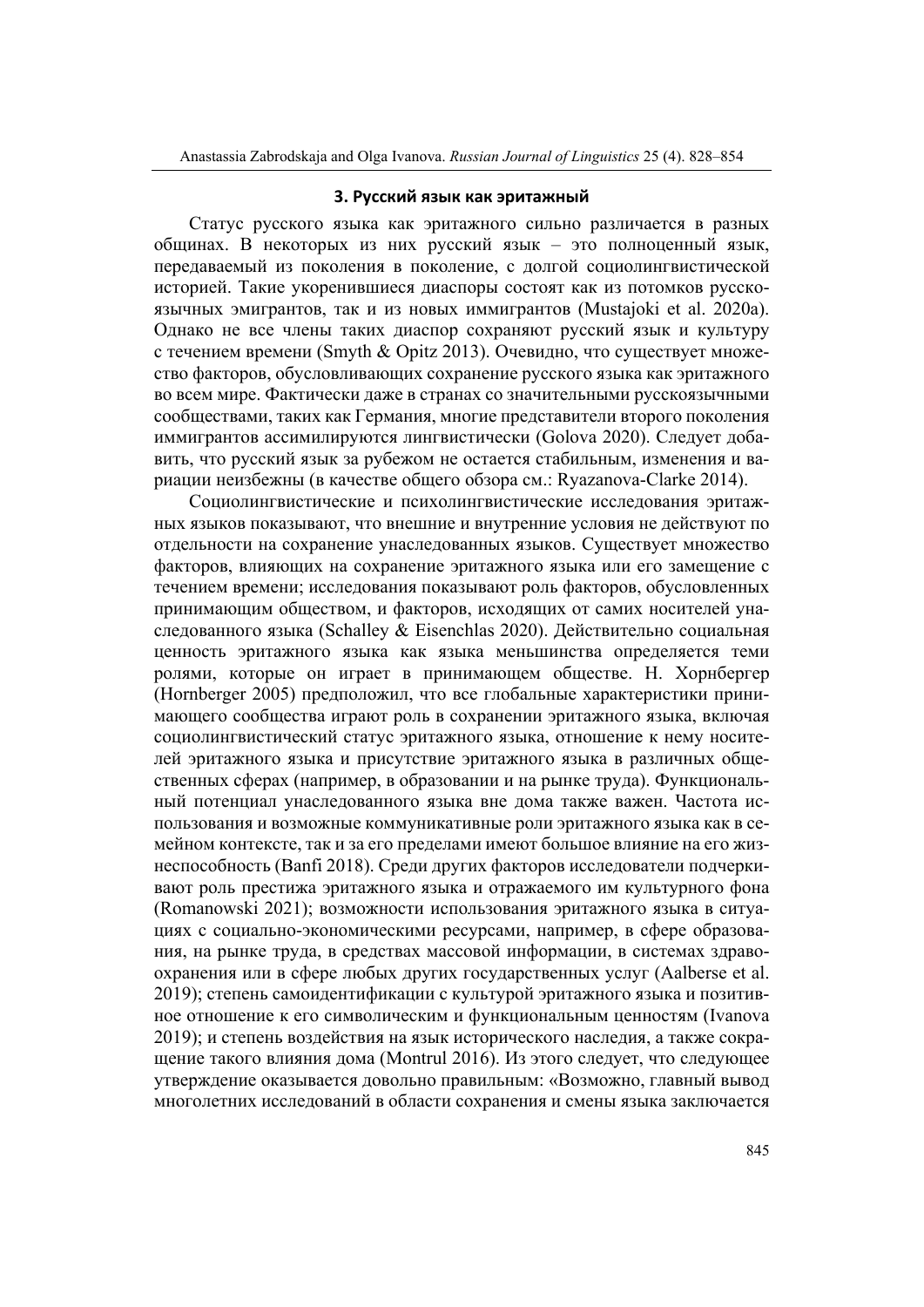## **3. Русский язык как эритажный**

Статус русского языка как эритажного сильно различается в разных общинах. В некоторых из них русский язык – это полноценный язык, передаваемый из поколения в поколение, с долгой социолингвистической историей. Такие укоренившиеся диаспоры состоят как из потомков русскоязычных эмигрантов, так и из новых иммигрантов (Mustajoki et al. 2020a). Однако не все члены таких диаспор сохраняют русский язык и культуру с течением времени (Smyth & Opitz 2013). Очевидно, что существует множество факторов, обусловливающих сохранение русского языка как эритажного во всем мире. Фактически даже в странах со значительными русскоязычными сообществами, таких как Германия, многие представители второго поколения иммигрантов ассимилируются лингвистически (Golova 2020). Следует добавить, что русский язык за рубежом не остается стабильным, изменения и вариации неизбежны (в качестве общего обзора см.: Ryazanova-Clarke 2014).

Социолингвистические и психолингвистические исследования эритажных языков показывают, что внешние и внутренние условия не действуют по отдельности на сохранение унаследованных языков. Существует множество факторов, влияющих на сохранение эритажного языка или его замещение с течением времени; исследования показывают роль факторов, обусловленных принимающим обществом, и факторов, исходящих от самих носителей унаследованного языка (Schalley & Eisenchlas 2020). Действительно социальная ценность эритажного языка как языка меньшинства определяется теми ролями, которые он играет в принимающем обществе. Н. Хорнбергер (Hornberger 2005) предположил, что все глобальные характеристики принимающего сообщества играют роль в сохранении эритажного языка, включая социолингвистический статус эритажного языка, отношение к нему носителей эритажного языка и присутствие эритажного языка в различных общественных сферах (например, в образовании и на рынке труда). Функциональный потенциал унаследованного языка вне дома также важен. Частота использования и возможные коммуникативные роли эритажного языка как в семейном контексте, так и за его пределами имеют большое влияние на его жизнеспособность (Banfi 2018). Среди других факторов исследователи подчеркивают роль престижа эритажного языка и отражаемого им культурного фона (Romanowski 2021); возможности использования эритажного языка в ситуациях с социально-экономическими ресурсами, например, в сфере образования, на рынке труда, в средствах массовой информации, в системах здравоохранения или в сфере любых других государственных услуг (Aalberse et al. 2019); степень самоидентификации с культурой эритажного языка и позитивное отношение к его символическим и функциональным ценностям (Ivanova 2019); и степень воздействия на язык исторического наследия, а также сокращение такого влияния дома (Montrul 2016). Из этого следует, что следующее утверждение оказывается довольно правильным: «Возможно, главный вывод многолетних исследований в области сохранения и смены языка заключается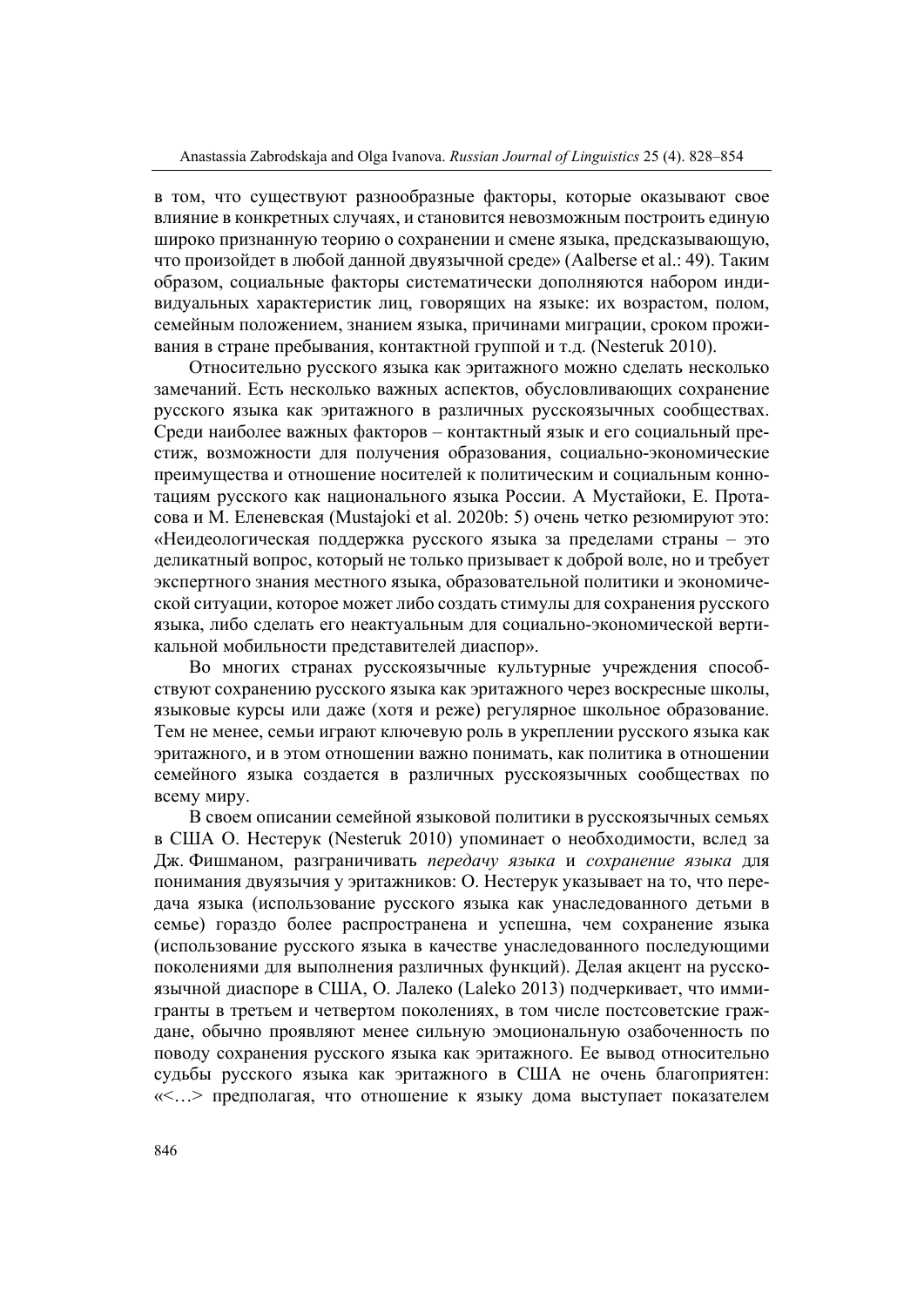в том, что существуют разнообразные факторы, которые оказывают свое влияние в конкретных случаях, и становится невозможным построить единую широко признанную теорию о сохранении и смене языка, предсказывающую, что произойдет в любой данной двуязычной среде» (Aalberse et al.: 49). Таким образом, социальные факторы систематически дополняются набором индивидуальных характеристик лиц, говорящих на языке: их возрастом, полом, семейным положением, знанием языка, причинами миграции, сроком проживания в стране пребывания, контактной группой и т.д. (Nesteruk 2010).

Относительно русского языка как эритажного можно сделать несколько замечаний. Есть несколько важных аспектов, обусловливающих сохранение русского языка как эритажного в различных русскоязычных сообществах. Среди наиболее важных факторов – контактный язык и его социальный престиж, возможности для получения образования, социально-экономические преимущества и отношение носителей к политическим и социальным коннотациям русского как национального языка России. А Мустайоки, Е. Протасова и М. Еленевская (Mustajoki et al. 2020b: 5) очень четко резюмируют это: «Неидеологическая поддержка русского языка за пределами страны – это деликатный вопрос, который не только призывает к доброй воле, но и требует экспертного знания местного языка, образовательной политики и экономической ситуации, которое может либо создать стимулы для сохранения русского языка, либо сделать его неактуальным для социально-экономической вертикальной мобильности представителей диаспор».

Во многих странах русскоязычные культурные учреждения способствуют сохранению русского языка как эритажного через воскресные школы, языковые курсы или даже (хотя и реже) регулярное школьное образование. Тем не менее, семьи играют ключевую роль в укреплении русского языка как эритажного, и в этом отношении важно понимать, как политика в отношении семейного языка создается в различных русскоязычных сообществах по всему миру.

В своем описании семейной языковой политики в русскоязычных семьях в США О. Нестерук (Nesteruk 2010) упоминает о необходимости, вслед за Дж. Фишманом, разграничивать *передачу языка* и *сохранение языка* для понимания двуязычия у эритажников: О. Нестерук указывает на то, что передача языка (использование русского языка как унаследованного детьми в семье) гораздо более распространена и успешна, чем сохранение языка (использование русского языка в качестве унаследованного последующими поколениями для выполнения различных функций). Делая акцент на русскоязычной диаспоре в США, О. Лалеко (Laleko 2013) подчеркивает, что иммигранты в третьем и четвертом поколениях, в том числе постсоветские граждане, обычно проявляют менее сильную эмоциональную озабоченность по поводу сохранения русского языка как эритажного. Ее вывод относительно судьбы русского языка как эритажного в США не очень благоприятен: «<…> предполагая, что отношение к языку дома выступает показателем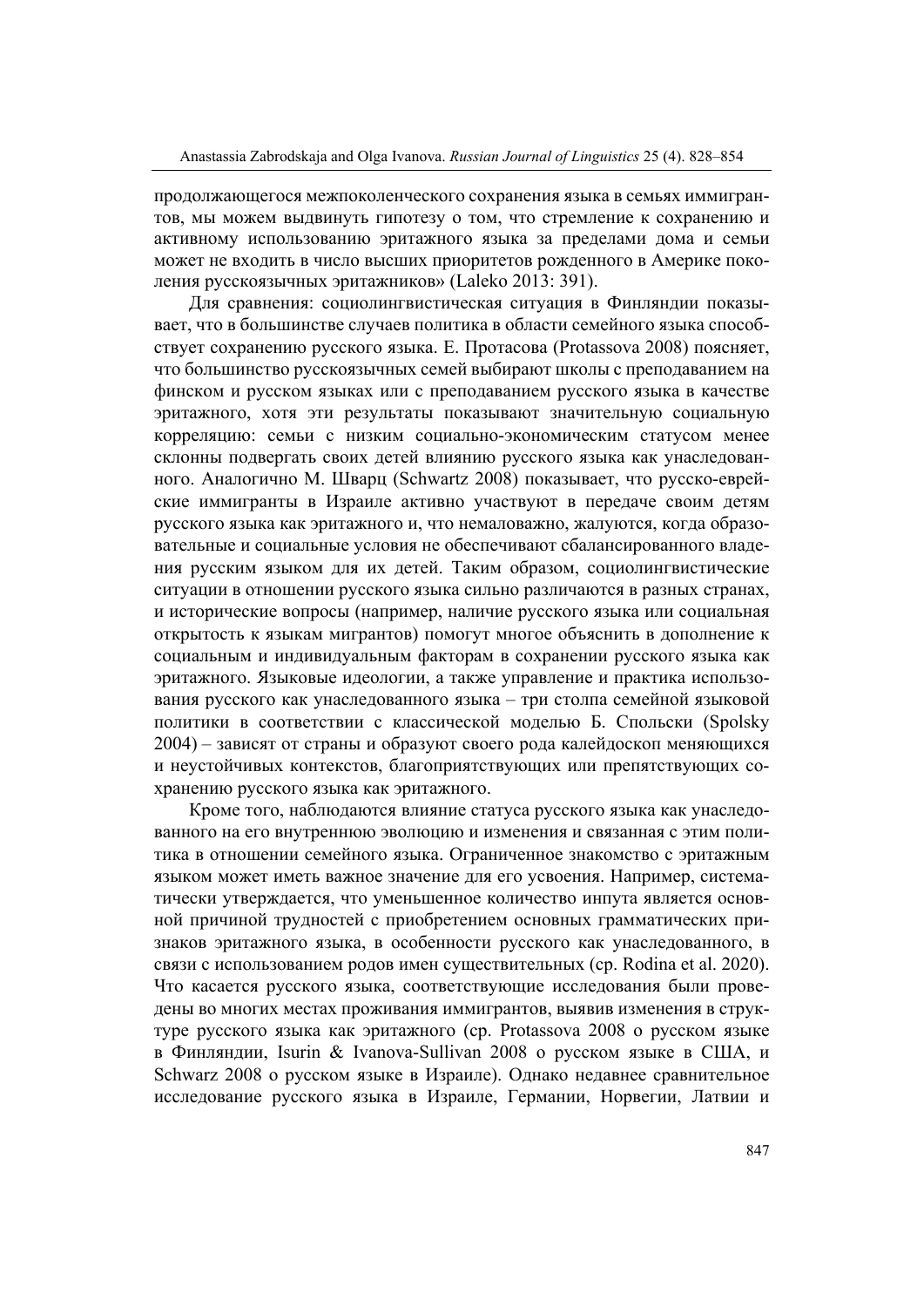продолжающегося межпоколенческого сохранения языка в семьях иммигрантов, мы можем выдвинуть гипотезу о том, что стремление к сохранению и активному использованию эритажного языка за пределами дома и семьи может не входить в число высших приоритетов рожденного в Америке поколения русскоязычных эритажников» (Laleko 2013: 391).

Для сравнения: социолингвистическая ситуация в Финляндии показывает, что в большинстве случаев политика в области семейного языка способствует сохранению русского языка. Е. Протасова (Protassova 2008) поясняет, что большинство русскоязычных семей выбирают школы с преподаванием на финском и русском языках или c преподаванием русского языка в качестве эритажного, хотя эти результаты показывают значительную социальную корреляцию: семьи с низким социально-экономическим статусом менее склонны подвергать своих детей влиянию русского языка как унаследованного. Аналогично М. Шварц (Schwartz 2008) показывает, что русско-еврейские иммигранты в Израиле активно участвуют в передаче своим детям русского языка как эритажного и, что немаловажно, жалуются, когда образовательные и социальные условия не обеспечивают сбалансированного владения русским языком для их детей. Таким образом, социолингвистические ситуации в отношении русского языка сильно различаются в разных странах, и исторические вопросы (например, наличие русского языка или социальная открытость к языкам мигрантов) помогут многое объяснить в дополнение к социальным и индивидуальным факторам в сохранении русского языка как эритажного. Языковые идеологии, а также управление и практика использования русского как унаследованного языка – три столпа семейной языковой политики в соответствии с классической моделью Б. Спольски (Spolsky 2004) – зависят от страны и образуют своего рода калейдоскоп меняющихся и неустойчивых контекстов, благоприятствующих или препятствующих сохранению русского языка как эритажного.

Кроме того, наблюдаются влияние статуса русского языка как унаследованного на его внутреннюю эволюцию и изменения и связанная с этим политика в отношении семейного языка. Ограниченное знакомство с эритажным языком может иметь важное значение для его усвоения. Например, систематически утверждается, что уменьшенное количество инпута является основной причиной трудностей с приобретением основных грамматических признаков эритажного языка, в особенности русского как унаследованного, в связи с использованием родов имен существительных (ср. Rodina et al. 2020). Что касается русского языка, соответствующие исследования были проведены во многих местах проживания иммигрантов, выявив изменения в структуре русского языка как эритажного (ср. Protassova 2008 о русском языке в Финляндии, Isurin & Ivanova-Sullivan 2008 о русском языке в США, и Schwarz 2008 о русском языке в Израиле). Однако недавнее сравнительное исследование русского языка в Израиле, Германии, Норвегии, Латвии и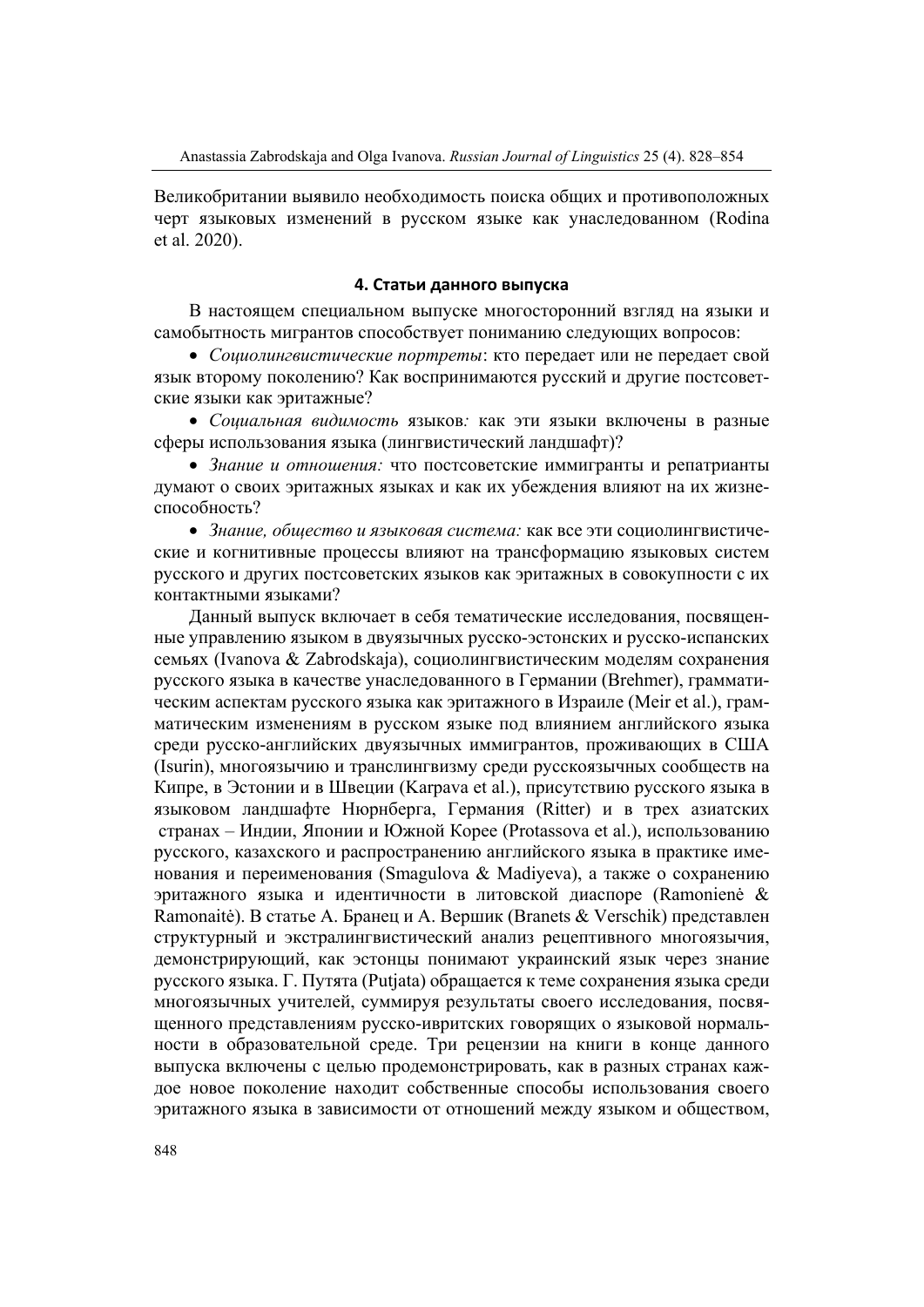Великобритании выявило необходимость поиска общих и противоположных черт языковых изменений в русском языке как унаследованном (Rodina et al. 2020).

## **4. Статьи данного выпуска**

В настоящем специальном выпуске многосторонний взгляд на языки и самобытность мигрантов способствует пониманию следующих вопросов:

 *Социолингвистические портреты*: кто передает или не передает свой язык второму поколению? Как воспринимаются русский и другие постсоветские языки как эритажные?

 *Социальная видимость* языков*:* как эти языки включены в разные сферы использования языка (лингвистический ландшафт)?

 *Знание и отношения:* что постсоветские иммигранты и репатрианты думают о своих эритажных языках и как их убеждения влияют на их жизнеспособность?

 *Знание, общество и языковая система:* как все эти социолингвистические и когнитивные процессы влияют на трансформацию языковых систем русского и других постсоветских языков как эритажных в совокупности с их контактными языками?

Данный выпуск включает в себя тематические исследования, посвященные управлению языком в двуязычных русско-эстонских и русско-испанских семьях (Ivanova & Zabrodskaja), социолингвистическим моделям сохранения русского языка в качестве унаследованного в Германии (Brehmer), грамматическим аспектам русского языка как эритажного в Израиле (Meir et al.), грамматическим изменениям в русском языке под влиянием английского языка среди русско-английских двуязычных иммигрантов, проживающих в США (Isurin), многоязычию и транслингвизму среди русскоязычных сообществ на Кипре, в Эстонии и в Швеции (Karpava et al.), присутствию русского языка в языковом ландшафте Нюрнберга, Германия (Ritter) и в трех азиатских странах – Индии, Японии и Южной Корее (Protassova et al.), использованию русского, казахского и распространению английского языка в практике именования и переименования (Smagulova & Madiyeva), а также о сохранению эритажного языка и идентичности в литовской диаспоре (Ramonienė & Ramonaitė). В статье А. Бранец и А. Вершик (Branets & Verschik) представлен структурный и экстралингвистический анализ рецептивного многоязычия, демонстрирующий, как эстонцы понимают украинский язык через знание русского языка. Г. Путята (Putjata) обращается к теме сохранения языка среди многоязычных учителей, суммируя результаты своего исследования, посвященного представлениям русско-ивритских говорящих о языковой нормальности в образовательной среде. Три рецензии на книги в конце данного выпуска включены с целью продемонстрировать, как в разных странах каждое новое поколение находит собственные способы использования своего эритажного языка в зависимости от отношений между языком и обществом,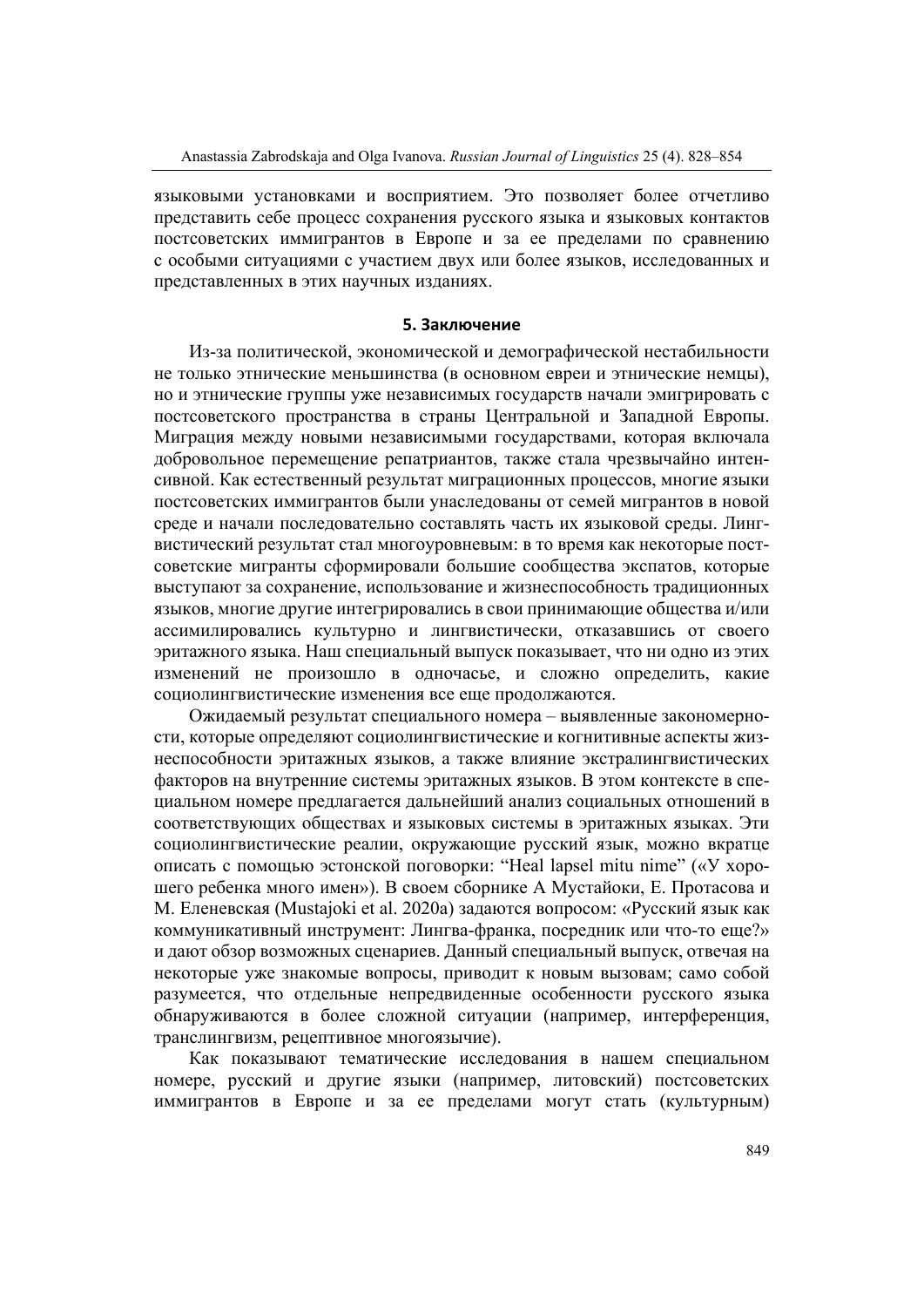языковыми установками и восприятием. Это позволяет более отчетливо представить себе процесс сохранения русского языка и языковых контактов постсоветских иммигрантов в Европе и за ее пределами по сравнению с особыми ситуациями с участием двух или более языков, исследованных и представленных в этих научных изданиях.

#### **5. Заключение**

Из-за политической, экономической и демографической нестабильности не только этнические меньшинства (в основном евреи и этнические немцы), но и этнические группы уже независимых государств начали эмигрировать с постсоветского пространства в страны Центральной и Западной Европы. Миграция между новыми независимыми государствами, которая включала добровольное перемещение репатриантов, также стала чрезвычайно интенсивной. Как естественный результат миграционных процессов, многие языки постсоветских иммигрантов были унаследованы от семей мигрантов в новой среде и начали последовательно составлять часть их языковой среды. Лингвистический результат стал многоуровневым: в то время как некоторые постсоветские мигранты сформировали большие сообщества экспатов, которые выступают за сохранение, использование и жизнеспособность традиционных языков, многие другие интегрировались в свои принимающие общества и/или ассимилировались культурно и лингвистически, отказавшись от своего эритажного языка. Наш специальный выпуск показывает, что ни одно из этих изменений не произошло в одночасье, и сложно определить, какие социолингвистические изменения все еще продолжаются.

Ожидаемый результат специального номера – выявленные закономерности, которые определяют социолингвистические и когнитивные аспекты жизнеспособности эритажных языков, а также влияние экстралингвистических факторов на внутренние системы эритажных языков. В этом контексте в специальном номере предлагается дальнейший анализ социальных отношений в соответствующих обществах и языковых системы в эритажных языках. Эти социолингвистические реалии, окружающие русский язык, можно вкратце описать с помощью эстонской поговорки: "Heal lapsel mitu nime" («У хорошего ребенка много имен»). В своем сборнике А Мустайоки, Е. Протасова и М. Еленевская (Mustajoki et al. 2020a) задаются вопросом: «Русский язык как коммуникативный инструмент: Лингва-франка, посредник или что-то еще?» и дают обзор возможных сценариев. Данный специальный выпуск, отвечая на некоторые уже знакомые вопросы, приводит к новым вызовам; само собой разумеется, что отдельные непредвиденные особенности русского языка обнаруживаются в более сложной ситуации (например, интерференция, транслингвизм, рецептивное многоязычие).

Как показывают тематические исследования в нашем специальном номере, русский и другие языки (например, литовский) постсоветских иммигрантов в Европе и за ее пределами могут стать (культурным)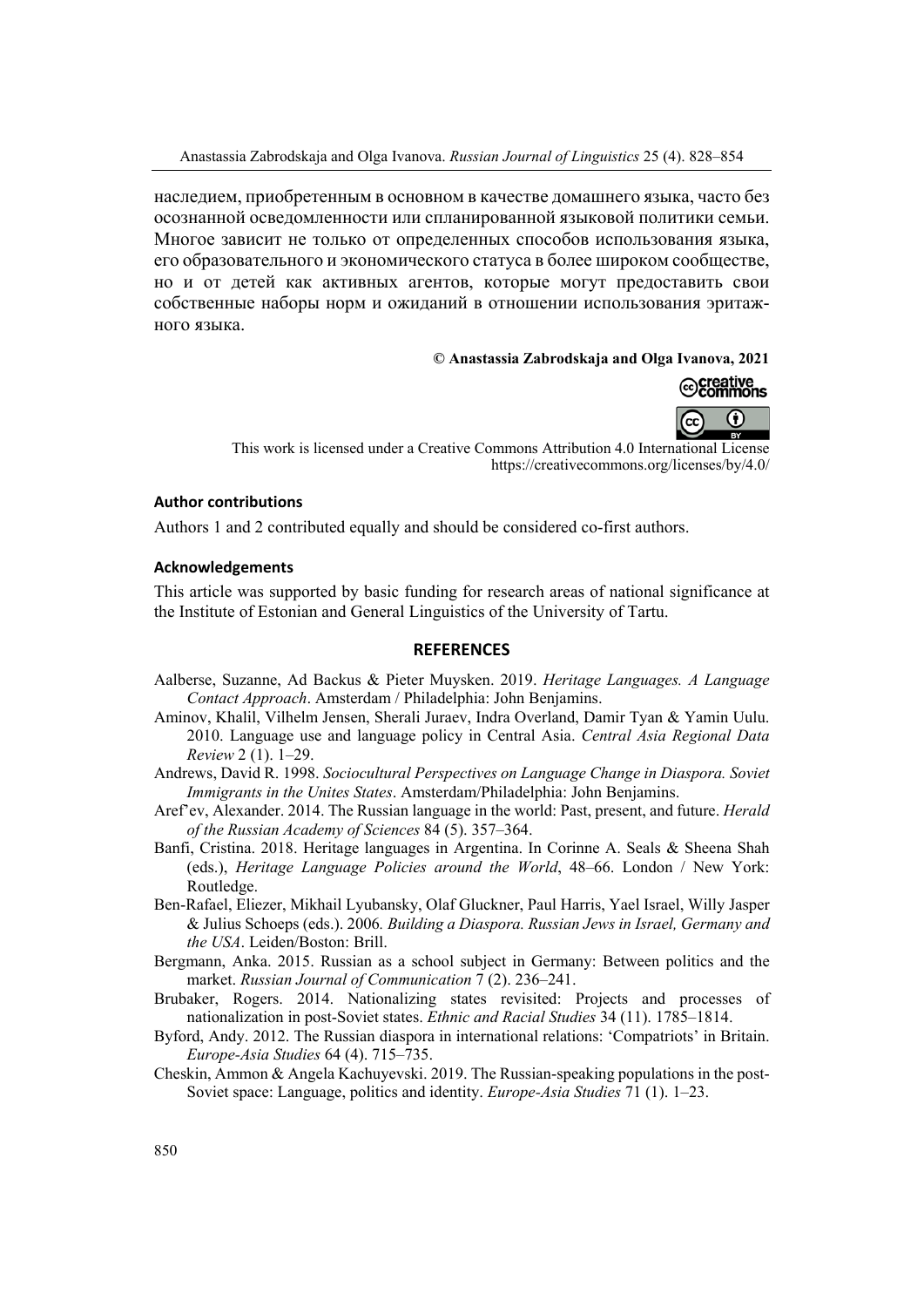наследием, приобретенным в основном в качестве домашнего языка, часто без осознанной осведомленности или спланированной языковой политики семьи. Многое зависит не только от определенных способов использования языка, его образовательного и экономического статуса в более широком сообществе, но и от детей как активных агентов, которые могут предоставить свои собственные наборы норм и ожиданий в отношении использования эритажного языка.

#### **© Anastassia Zabrodskaja and Olga Ivanova, 2021**



This work is licensed under a Creative Commons Attribution 4.0 International License https://creativecommons.org/licenses/by/4.0/

#### **Author contributions**

Authors 1 and 2 contributed equally and should be considered co-first authors.

#### **Acknowledgements**

This article was supported by basic funding for research areas of national significance at the Institute of Estonian and General Linguistics of the University of Tartu.

#### **REFERENCES**

- Aalberse, Suzanne, Ad Backus & Pieter Muysken. 2019. *Heritage Languages. A Language Contact Approach*. Amsterdam / Philadelphia: John Benjamins.
- Aminov, Khalil, Vilhelm Jensen, Sherali Juraev, Indra Overland, Damir Tyan & Yamin Uulu. 2010. Language use and language policy in Central Asia. *Central Asia Regional Data Review* 2 (1). 1–29.
- Andrews, David R. 1998. *Sociocultural Perspectives on Language Change in Diaspora. Soviet Immigrants in the Unites States*. Amsterdam/Philadelphia: John Benjamins.
- Aref'ev, Alexander. 2014. The Russian language in the world: Past, present, and future. *Herald of the Russian Academy of Sciences* 84 (5). 357–364.
- Banfi, Cristina. 2018. Heritage languages in Argentina. In Corinne A. Seals & Sheena Shah (eds.), *Heritage Language Policies around the World*, 48–66. London / New York: Routledge.
- Ben-Rafael, Eliezer, Mikhail Lyubansky, Olaf Gluckner, Paul Harris, Yael Israel, Willy Jasper & Julius Schoeps (eds.). 2006*. Building a Diaspora. Russian Jews in Israel, Germany and the USA*. Leiden/Boston: Brill.
- Bergmann, Anka. 2015. Russian as a school subject in Germany: Between politics and the market. *Russian Journal of Communication* 7 (2). 236–241.
- Brubaker, Rogers. 2014. Nationalizing states revisited: Projects and processes of nationalization in post-Soviet states. *Ethnic and Racial Studies* 34 (11). 1785–1814.
- Byford, Andy. 2012. The Russian diaspora in international relations: 'Compatriots' in Britain. *Europe-Asia Studies* 64 (4). 715–735.
- Cheskin, Ammon & Angela Kachuyevski. 2019. The Russian-speaking populations in the post-Soviet space: Language, politics and identity. *Europe-Asia Studies* 71 (1). 1–23.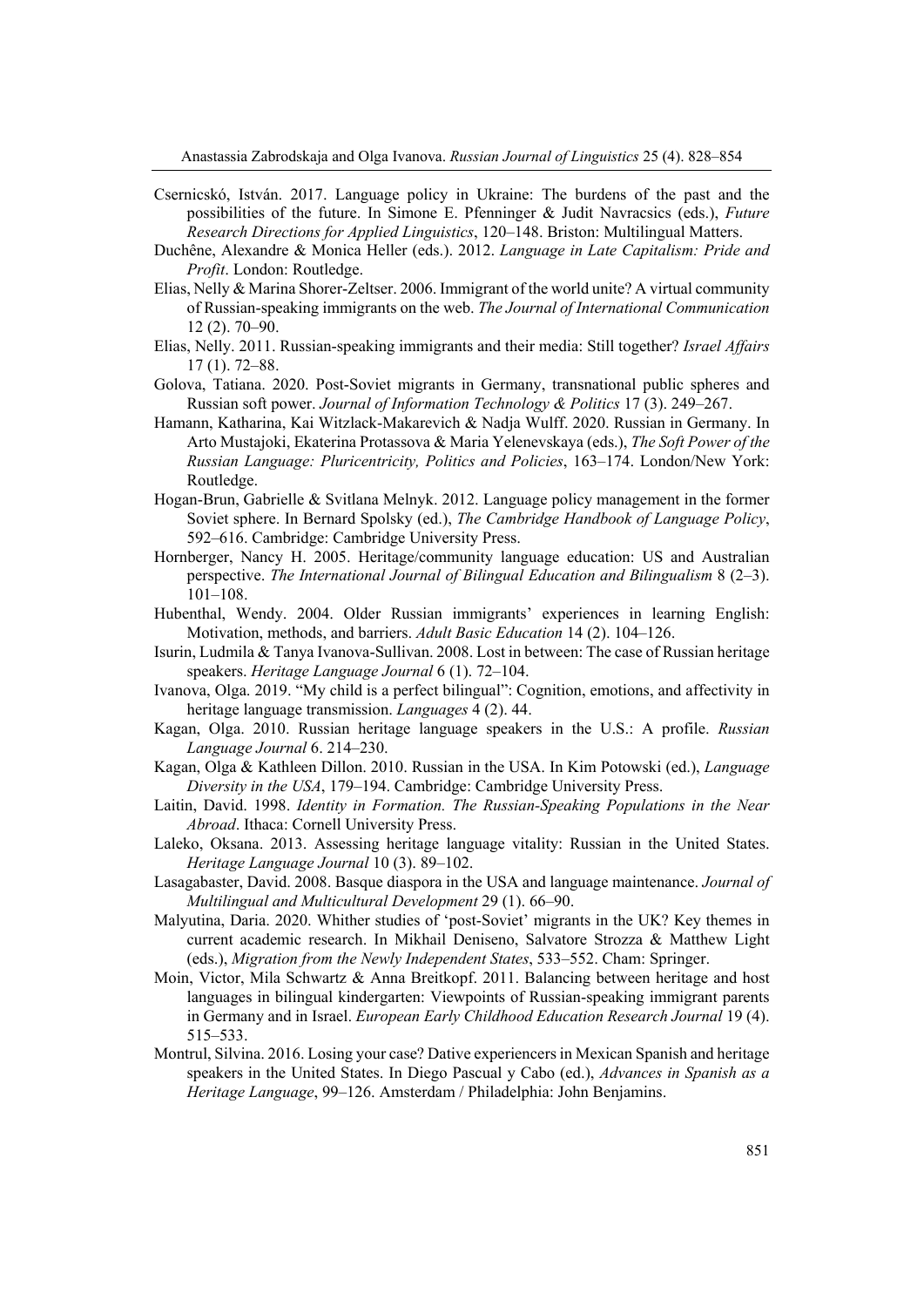- Csernicskó, István. 2017. Language policy in Ukraine: The burdens of the past and the possibilities of the future. In Simone E. Pfenninger & Judit Navracsics (eds.), *Future Research Directions for Applied Linguistics*, 120–148. Briston: Multilingual Matters.
- Duchêne, Alexandre & Monica Heller (eds.). 2012. *Language in Late Capitalism: Pride and Profit*. London: Routledge.
- Elias, Nelly & Marina Shorer-Zeltser. 2006. Immigrant of the world unite? A virtual community of Russian-speaking immigrants on the web. *The Journal of International Communication* 12 (2). 70–90.
- Elias, Nelly. 2011. Russian-speaking immigrants and their media: Still together? *Israel Affairs* 17 (1). 72–88.
- Golova, Tatiana. 2020. Post-Soviet migrants in Germany, transnational public spheres and Russian soft power. *Journal of Information Technology & Politics* 17 (3). 249–267.
- Hamann, Katharina, Kai Witzlack-Makarevich & Nadja Wulff. 2020. Russian in Germany. In Arto Mustajoki, Ekaterina Protassova & Maria Yelenevskaya (eds.), *The Soft Power of the Russian Language: Pluricentricity, Politics and Policies*, 163–174. London/New York: Routledge.
- Hogan-Brun, Gabrielle & Svitlana Melnyk. 2012. Language policy management in the former Soviet sphere. In Bernard Spolsky (ed.), *The Cambridge Handbook of Language Policy*, 592–616. Cambridge: Cambridge University Press.
- Hornberger, Nancy H. 2005. Heritage/community language education: US and Australian perspective. *The International Journal of Bilingual Education and Bilingualism* 8 (2–3). 101–108.
- Hubenthal, Wendy. 2004. Older Russian immigrants' experiences in learning English: Motivation, methods, and barriers. *Adult Basic Education* 14 (2). 104–126.
- Isurin, Ludmila & Tanya Ivanova-Sullivan. 2008. Lost in between: The case of Russian heritage speakers. *Heritage Language Journal* 6 (1). 72–104.
- Ivanova, Olga. 2019. "My child is a perfect bilingual": Cognition, emotions, and affectivity in heritage language transmission. *Languages* 4 (2). 44.
- Kagan, Olga. 2010. Russian heritage language speakers in the U.S.: A profile. *Russian Language Journal* 6. 214–230.
- Kagan, Olga & Kathleen Dillon. 2010. Russian in the USA. In Kim Potowski (ed.), *Language Diversity in the USA*, 179–194. Cambridge: Cambridge University Press.
- Laitin, David. 1998. *Identity in Formation. The Russian-Speaking Populations in the Near Abroad*. Ithaca: Cornell University Press.
- Laleko, Oksana. 2013. Assessing heritage language vitality: Russian in the United States. *Heritage Language Journal* 10 (3). 89–102.
- Lasagabaster, David. 2008. Basque diaspora in the USA and language maintenance. *Journal of Multilingual and Multicultural Development* 29 (1). 66–90.
- Malyutina, Daria. 2020. Whither studies of 'post-Soviet' migrants in the UK? Key themes in current academic research. In Mikhail Deniseno, Salvatore Strozza & Matthew Light (eds.), *Migration from the Newly Independent States*, 533–552. Cham: Springer.
- Moin, Victor, Mila Schwartz & Anna Breitkopf. 2011. Balancing between heritage and host languages in bilingual kindergarten: Viewpoints of Russian-speaking immigrant parents in Germany and in Israel. *European Early Childhood Education Research Journal* 19 (4). 515–533.
- Montrul, Silvina. 2016. Losing your case? Dative experiencers in Mexican Spanish and heritage speakers in the United States. In Diego Pascual y Cabo (ed.), *Advances in Spanish as a Heritage Language*, 99–126. Amsterdam / Philadelphia: John Benjamins.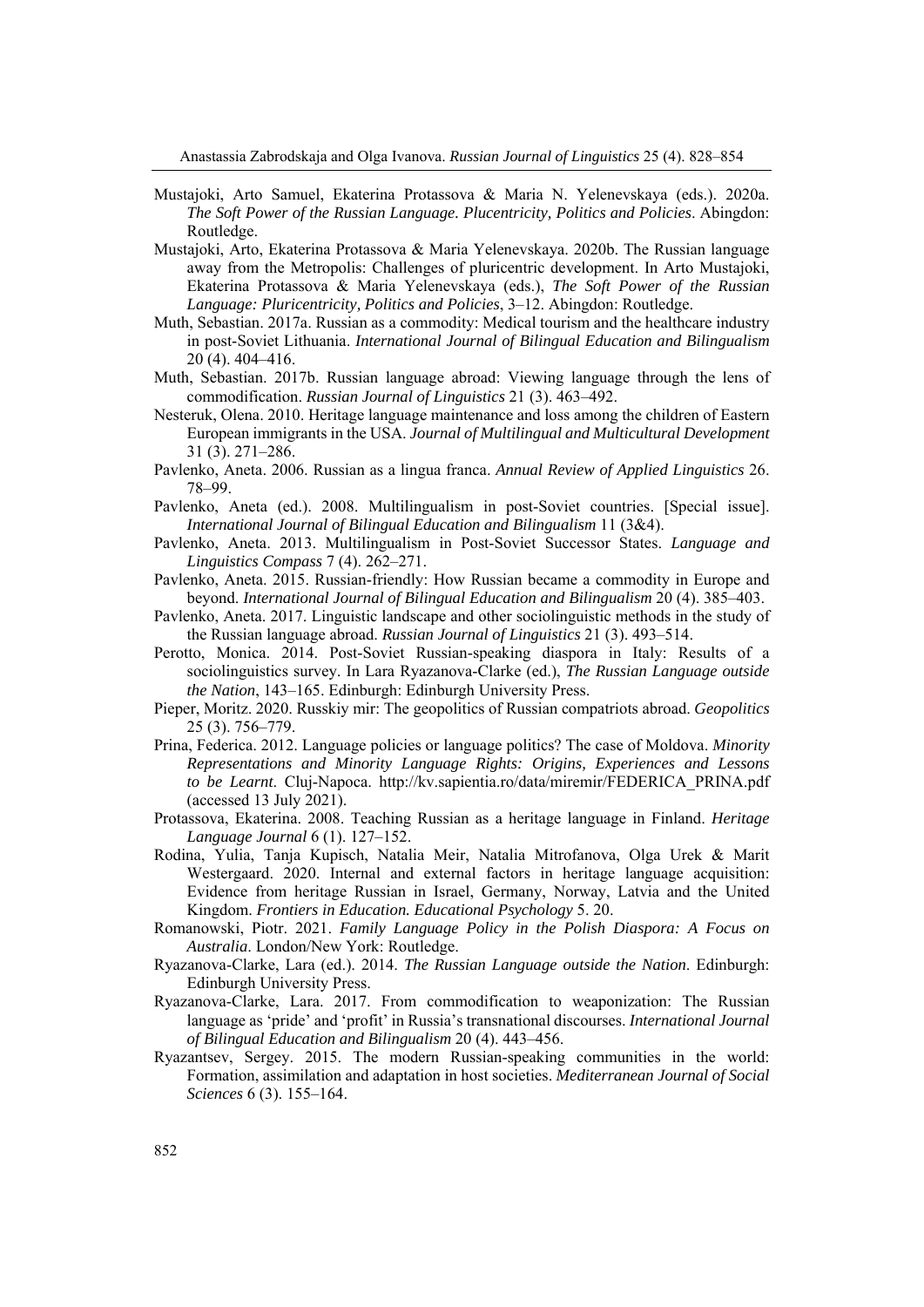- Mustajoki, Arto Samuel, Ekaterina Protassova & Maria N. Yelenevskaya (eds.). 2020a. *The Soft Power of the Russian Language. Plucentricity, Politics and Policies*. Abingdon: Routledge.
- Mustajoki, Arto, Ekaterina Protassova & Maria Yelenevskaya. 2020b. The Russian language away from the Metropolis: Challenges of pluricentric development. In Arto Mustajoki, Ekaterina Protassova & Maria Yelenevskaya (eds.), *The Soft Power of the Russian Language: Pluricentricity, Politics and Policies*, 3–12. Abingdon: Routledge.
- Muth, Sebastian. 2017a. Russian as a commodity: Medical tourism and the healthcare industry in post-Soviet Lithuania. *International Journal of Bilingual Education and Bilingualism* 20 (4). 404–416.
- Muth, Sebastian. 2017b. Russian language abroad: Viewing language through the lens of commodification. *Russian Journal of Linguistics* 21 (3). 463–492.
- Nesteruk, Olena. 2010. Heritage language maintenance and loss among the children of Eastern European immigrants in the USA. *Journal of Multilingual and Multicultural Development* 31 (3). 271–286.
- Pavlenko, Aneta. 2006. Russian as a lingua franca. *Annual Review of Applied Linguistics* 26. 78–99.
- Pavlenko, Aneta (ed.). 2008. Multilingualism in post-Soviet countries. [Special issue]. *International Journal of Bilingual Education and Bilingualism* 11 (3&4).
- Pavlenko, Aneta. 2013. Multilingualism in Post-Soviet Successor States. *Language and Linguistics Compass* 7 (4). 262–271.
- Pavlenko, Aneta. 2015. Russian-friendly: How Russian became a commodity in Europe and beyond. *International Journal of Bilingual Education and Bilingualism* 20 (4). 385–403.
- Pavlenko, Aneta. 2017. Linguistic landscape and other sociolinguistic methods in the study of the Russian language abroad. *Russian Journal of Linguistics* 21 (3). 493–514.
- Perotto, Monica. 2014. Post-Soviet Russian-speaking diaspora in Italy: Results of a sociolinguistics survey. In Lara Ryazanova-Clarke (ed.), *The Russian Language outside the Nation*, 143–165. Edinburgh: Edinburgh University Press.
- Pieper, Moritz. 2020. Russkiy mir: The geopolitics of Russian compatriots abroad. *Geopolitics* 25 (3). 756–779.
- Prina, Federica. 2012. Language policies or language politics? The case of Moldova. *Minority Representations and Minority Language Rights: Origins, Experiences and Lessons to be Learnt*. Cluj-Napoca. http://kv.sapientia.ro/data/miremir/FEDERICA\_PRINA.pdf (accessed 13 July 2021).
- Protassova, Ekaterina. 2008. Teaching Russian as a heritage language in Finland. *Heritage Language Journal* 6 (1). 127–152.
- Rodina, Yulia, Tanja Kupisch, Natalia Meir, Natalia Mitrofanova, Olga Urek & Marit Westergaard. 2020. Internal and external factors in heritage language acquisition: Evidence from heritage Russian in Israel, Germany, Norway, Latvia and the United Kingdom. *Frontiers in Education. Educational Psychology* 5. 20.
- Romanowski, Piotr. 2021. *Family Language Policy in the Polish Diaspora: A Focus on Australia*. London/New York: Routledge.
- Ryazanova-Clarke, Lara (ed.). 2014. *The Russian Language outside the Nation*. Edinburgh: Edinburgh University Press.
- Ryazanova-Clarke, Lara. 2017. From commodification to weaponization: The Russian language as 'pride' and 'profit' in Russia's transnational discourses. *International Journal of Bilingual Education and Bilingualism* 20 (4). 443–456.
- Ryazantsev, Sergey. 2015. The modern Russian-speaking communities in the world: Formation, assimilation and adaptation in host societies. *Mediterranean Journal of Social Sciences* 6 (3). 155–164.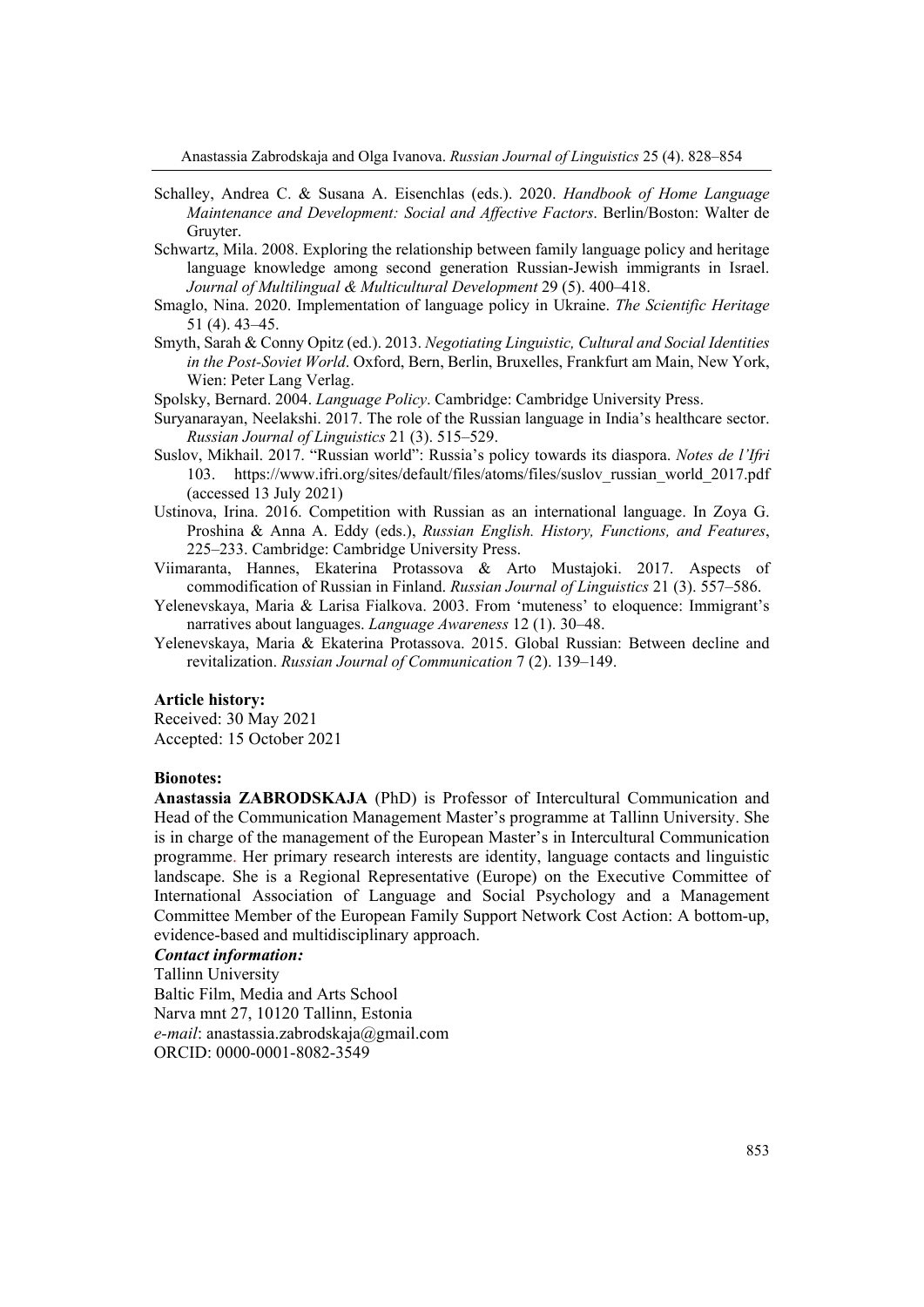- Schalley, Andrea C. & Susana A. Eisenchlas (eds.). 2020. *Handbook of Home Language Maintenance and Development: Social and Affective Factors*. Berlin/Boston: Walter de Gruyter.
- Schwartz, Mila. 2008. Exploring the relationship between family language policy and heritage language knowledge among second generation Russian-Jewish immigrants in Israel. *Journal of Multilingual & Multicultural Development* 29 (5). 400–418.
- Smaglo, Nina. 2020. Implementation of language policy in Ukraine. *The Scientific Heritage* 51 (4). 43–45.
- Smyth, Sarah & Conny Opitz (ed.). 2013. *Negotiating Linguistic, Cultural and Social Identities in the Post-Soviet World*. Oxford, Bern, Berlin, Bruxelles, Frankfurt am Main, New York, Wien: Peter Lang Verlag.
- Spolsky, Bernard. 2004. *Language Policy*. Cambridge: Cambridge University Press.
- Suryanarayan, Neelakshi. 2017. The role of the Russian language in India's healthcare sector. *Russian Journal of Linguistics* 21 (3). 515–529.
- Suslov, Mikhail. 2017. "Russian world": Russia's policy towards its diaspora. *Notes de l'Ifri* 103. https://www.ifri.org/sites/default/files/atoms/files/suslov\_russian\_world\_2017.pdf (accessed 13 July 2021)
- Ustinova, Irina. 2016. Competition with Russian as an international language. In Zoya G. Proshina & Anna A. Eddy (eds.), *Russian English. History, Functions, and Features*, 225–233. Cambridge: Cambridge University Press.
- Viimaranta, Hannes, Ekaterina Protassova & Arto Mustajoki. 2017. Aspects of commodification of Russian in Finland. *Russian Journal of Linguistics* 21 (3). 557–586.
- Yelenevskaya, Maria & Larisa Fialkova. 2003. From 'muteness' to eloquence: Immigrant's narratives about languages. *Language Awareness* 12 (1). 30–48.
- Yelenevskaya, Maria & Ekaterina Protassova. 2015. Global Russian: Between decline and revitalization. *Russian Journal of Communication* 7 (2). 139–149.

#### **Article history:**

Received: 30 May 2021 Accepted: 15 October 2021

#### **Bionotes:**

**Anastassia ZABRODSKAJA** (PhD) is Professor of Intercultural Communication and Head of the Communication Management Master's programme at Tallinn University. She is in charge of the management of the European Master's in Intercultural Communication programme. Her primary research interests are identity, language contacts and linguistic landscape. She is a Regional Representative (Europe) on the Executive Committee of International Association of Language and Social Psychology and a Management Committee Member of the European Family Support Network Cost Action: A bottom-up, evidence-based and multidisciplinary approach.

#### *Contact information:*

Tallinn University Baltic Film, Media and Arts School Narva mnt 27, 10120 Tallinn, Estonia *e-mail*: anastassia.zabrodskaja@gmail.com ORCID: 0000-0001-8082-3549